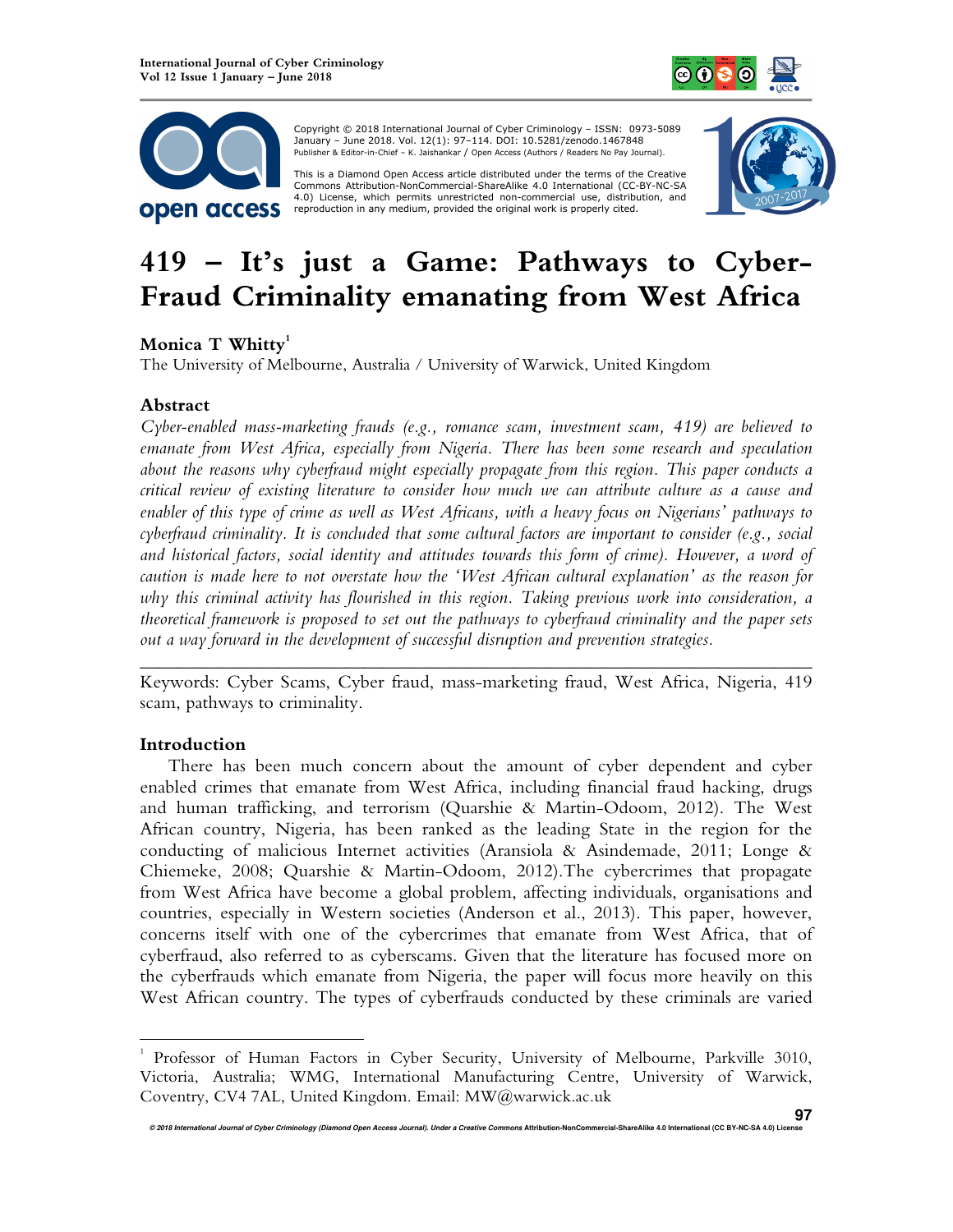



 Copyright © 2018 International Journal of Cyber Criminology – ISSN: 0973-5089 January – June 2018. Vol. 12(1): 97–114. DOI: 10.5281/zenodo.1467848 Publisher & Editor-in-Chief – K. Jaishankar / Open Access (Authors / Readers No Pay Journal).

This is a Diamond Open Access article distributed under the terms of the Creative<br>Commons Attribution-NonCommercial-ShareAlike 4.0 International (CC-BY-NC-SA 4.0) License, which permits unrestricted non-commercial use, distribution, and reproduction in any medium, provided the original work is properly cited.



# **419 – It's just a Game: Pathways to Cyber-Fraud Criminality emanating from West Africa**

# **Monica T Whitty<sup>1</sup>**

The University of Melbourne, Australia / University of Warwick, United Kingdom

# **Abstract**

*Cyber-enabled mass-marketing frauds (e.g., romance scam, investment scam, 419) are believed to emanate from West Africa, especially from Nigeria. There has been some research and speculation about the reasons why cyberfraud might especially propagate from this region. This paper conducts a critical review of existing literature to consider how much we can attribute culture as a cause and enabler of this type of crime as well as West Africans, with a heavy focus on Nigerians' pathways to cyberfraud criminality. It is concluded that some cultural factors are important to consider (e.g., social and historical factors, social identity and attitudes towards this form of crime). However, a word of caution is made here to not overstate how the 'West African cultural explanation' as the reason for why this criminal activity has flourished in this region. Taking previous work into consideration, a theoretical framework is proposed to set out the pathways to cyberfraud criminality and the paper sets out a way forward in the development of successful disruption and prevention strategies.* 

*\_\_\_\_\_\_\_\_\_\_\_\_\_\_\_\_\_\_\_\_\_\_\_\_\_\_\_\_\_\_\_\_\_\_\_\_\_\_\_\_\_\_\_\_\_\_\_\_\_\_\_\_\_\_\_\_\_\_\_\_\_\_\_\_\_\_\_\_\_\_\_\_*  Keywords: Cyber Scams, Cyber fraud, mass-marketing fraud, West Africa, Nigeria, 419 scam, pathways to criminality.

# **Introduction**

 $\overline{a}$ 

There has been much concern about the amount of cyber dependent and cyber enabled crimes that emanate from West Africa, including financial fraud hacking, drugs and human trafficking, and terrorism (Quarshie & Martin-Odoom, 2012). The West African country, Nigeria, has been ranked as the leading State in the region for the conducting of malicious Internet activities (Aransiola & Asindemade, 2011; Longe & Chiemeke, 2008; Quarshie & Martin-Odoom, 2012).The cybercrimes that propagate from West Africa have become a global problem, affecting individuals, organisations and countries, especially in Western societies (Anderson et al., 2013). This paper, however, concerns itself with one of the cybercrimes that emanate from West Africa, that of cyberfraud, also referred to as cyberscams. Given that the literature has focused more on the cyberfrauds which emanate from Nigeria, the paper will focus more heavily on this West African country. The types of cyberfrauds conducted by these criminals are varied

<sup>&</sup>lt;sup>1</sup> Professor of Human Factors in Cyber Security, University of Melbourne, Parkville 3010, Victoria, Australia; WMG, International Manufacturing Centre, University of Warwick, Coventry, CV4 7AL, United Kingdom. Email: MW@warwick.ac.uk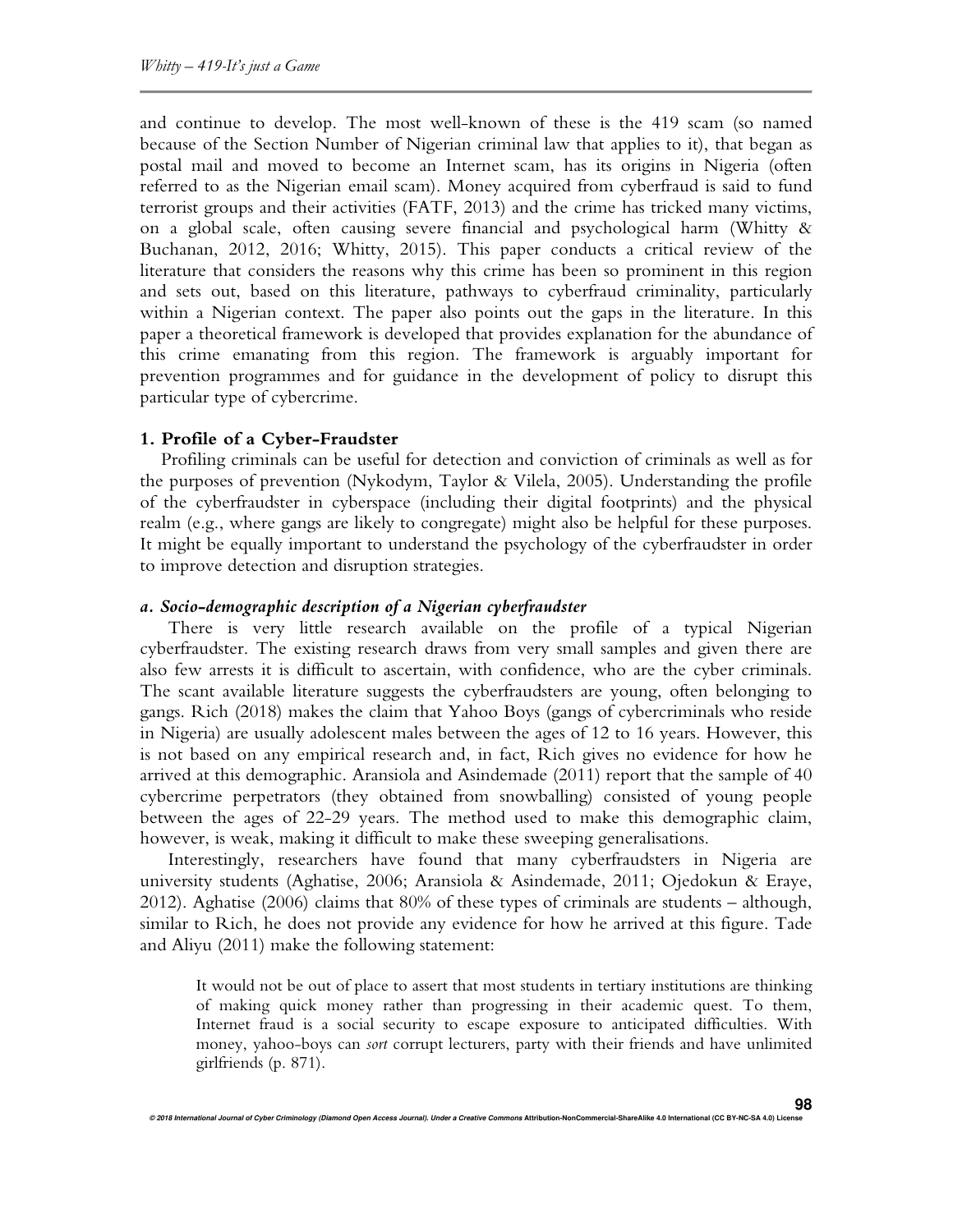and continue to develop. The most well-known of these is the 419 scam (so named because of the Section Number of Nigerian criminal law that applies to it), that began as postal mail and moved to become an Internet scam, has its origins in Nigeria (often referred to as the Nigerian email scam). Money acquired from cyberfraud is said to fund terrorist groups and their activities (FATF, 2013) and the crime has tricked many victims, on a global scale, often causing severe financial and psychological harm (Whitty & Buchanan, 2012, 2016; Whitty, 2015). This paper conducts a critical review of the literature that considers the reasons why this crime has been so prominent in this region and sets out, based on this literature, pathways to cyberfraud criminality, particularly within a Nigerian context. The paper also points out the gaps in the literature. In this paper a theoretical framework is developed that provides explanation for the abundance of this crime emanating from this region. The framework is arguably important for prevention programmes and for guidance in the development of policy to disrupt this particular type of cybercrime.

## **1. Profile of a Cyber-Fraudster**

Profiling criminals can be useful for detection and conviction of criminals as well as for the purposes of prevention (Nykodym, Taylor & Vilela, 2005). Understanding the profile of the cyberfraudster in cyberspace (including their digital footprints) and the physical realm (e.g., where gangs are likely to congregate) might also be helpful for these purposes. It might be equally important to understand the psychology of the cyberfraudster in order to improve detection and disruption strategies.

## *a. Socio-demographic description of a Nigerian cyberfraudster*

There is very little research available on the profile of a typical Nigerian cyberfraudster. The existing research draws from very small samples and given there are also few arrests it is difficult to ascertain, with confidence, who are the cyber criminals. The scant available literature suggests the cyberfraudsters are young, often belonging to gangs. Rich (2018) makes the claim that Yahoo Boys (gangs of cybercriminals who reside in Nigeria) are usually adolescent males between the ages of 12 to 16 years. However, this is not based on any empirical research and, in fact, Rich gives no evidence for how he arrived at this demographic. Aransiola and Asindemade (2011) report that the sample of 40 cybercrime perpetrators (they obtained from snowballing) consisted of young people between the ages of 22-29 years. The method used to make this demographic claim, however, is weak, making it difficult to make these sweeping generalisations.

Interestingly, researchers have found that many cyberfraudsters in Nigeria are university students (Aghatise, 2006; Aransiola & Asindemade, 2011; Ojedokun & Eraye, 2012). Aghatise (2006) claims that 80% of these types of criminals are students – although, similar to Rich, he does not provide any evidence for how he arrived at this figure. Tade and Aliyu (2011) make the following statement:

It would not be out of place to assert that most students in tertiary institutions are thinking of making quick money rather than progressing in their academic quest. To them, Internet fraud is a social security to escape exposure to anticipated difficulties. With money, yahoo-boys can *sort* corrupt lecturers, party with their friends and have unlimited girlfriends (p. 871).

**98**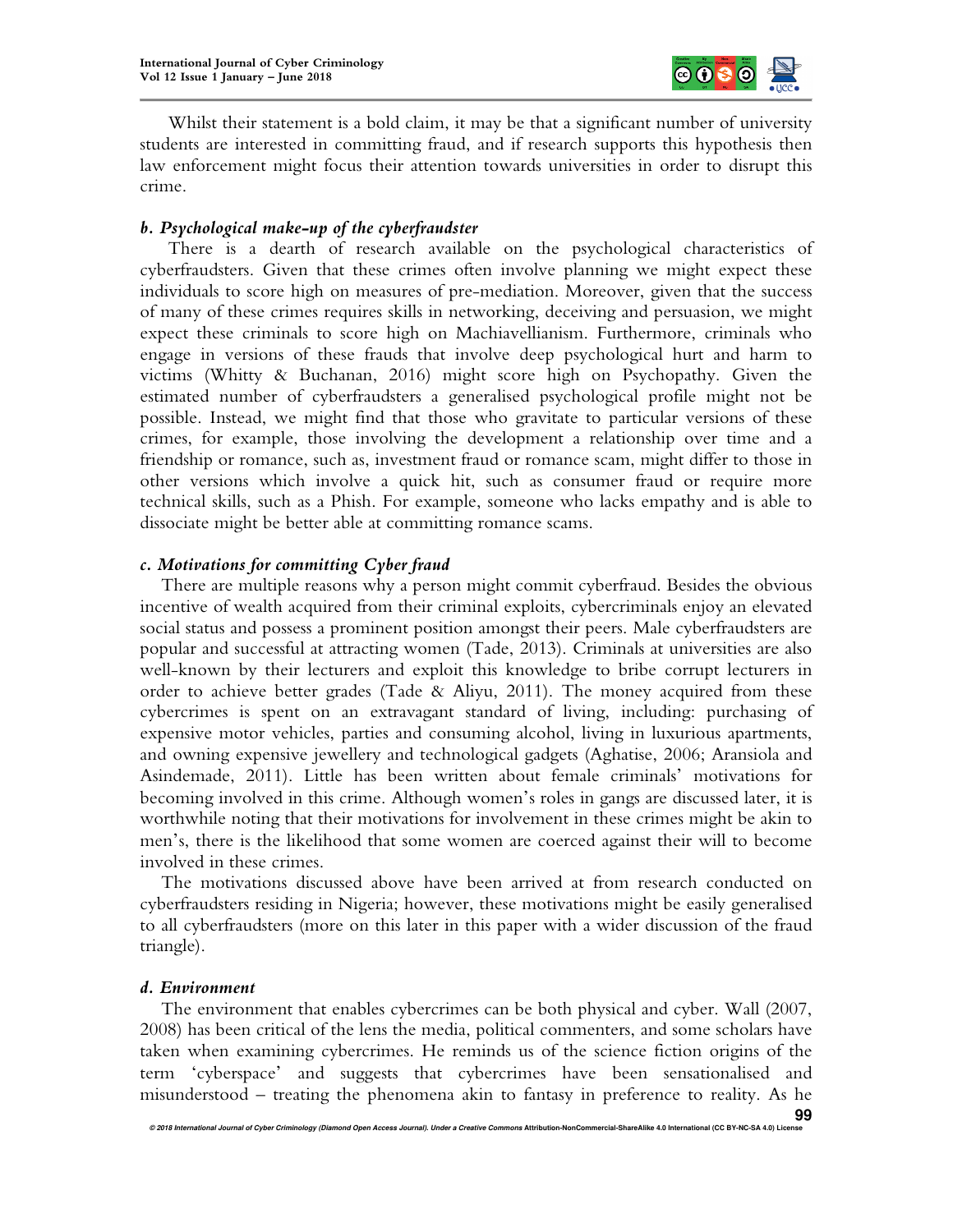

Whilst their statement is a bold claim, it may be that a significant number of university students are interested in committing fraud, and if research supports this hypothesis then law enforcement might focus their attention towards universities in order to disrupt this crime.

# *b. Psychological make-up of the cyberfraudster*

There is a dearth of research available on the psychological characteristics of cyberfraudsters. Given that these crimes often involve planning we might expect these individuals to score high on measures of pre-mediation. Moreover, given that the success of many of these crimes requires skills in networking, deceiving and persuasion, we might expect these criminals to score high on Machiavellianism. Furthermore, criminals who engage in versions of these frauds that involve deep psychological hurt and harm to victims (Whitty & Buchanan, 2016) might score high on Psychopathy. Given the estimated number of cyberfraudsters a generalised psychological profile might not be possible. Instead, we might find that those who gravitate to particular versions of these crimes, for example, those involving the development a relationship over time and a friendship or romance, such as, investment fraud or romance scam, might differ to those in other versions which involve a quick hit, such as consumer fraud or require more technical skills, such as a Phish. For example, someone who lacks empathy and is able to dissociate might be better able at committing romance scams.

# *c. Motivations for committing Cyber fraud*

There are multiple reasons why a person might commit cyberfraud. Besides the obvious incentive of wealth acquired from their criminal exploits, cybercriminals enjoy an elevated social status and possess a prominent position amongst their peers. Male cyberfraudsters are popular and successful at attracting women (Tade, 2013). Criminals at universities are also well-known by their lecturers and exploit this knowledge to bribe corrupt lecturers in order to achieve better grades (Tade & Aliyu, 2011). The money acquired from these cybercrimes is spent on an extravagant standard of living, including: purchasing of expensive motor vehicles, parties and consuming alcohol, living in luxurious apartments, and owning expensive jewellery and technological gadgets (Aghatise, 2006; Aransiola and Asindemade, 2011). Little has been written about female criminals' motivations for becoming involved in this crime. Although women's roles in gangs are discussed later, it is worthwhile noting that their motivations for involvement in these crimes might be akin to men's, there is the likelihood that some women are coerced against their will to become involved in these crimes.

The motivations discussed above have been arrived at from research conducted on cyberfraudsters residing in Nigeria; however, these motivations might be easily generalised to all cyberfraudsters (more on this later in this paper with a wider discussion of the fraud triangle).

# *d. Environment*

The environment that enables cybercrimes can be both physical and cyber. Wall (2007, 2008) has been critical of the lens the media, political commenters, and some scholars have taken when examining cybercrimes. He reminds us of the science fiction origins of the term 'cyberspace' and suggests that cybercrimes have been sensationalised and misunderstood – treating the phenomena akin to fantasy in preference to reality. As he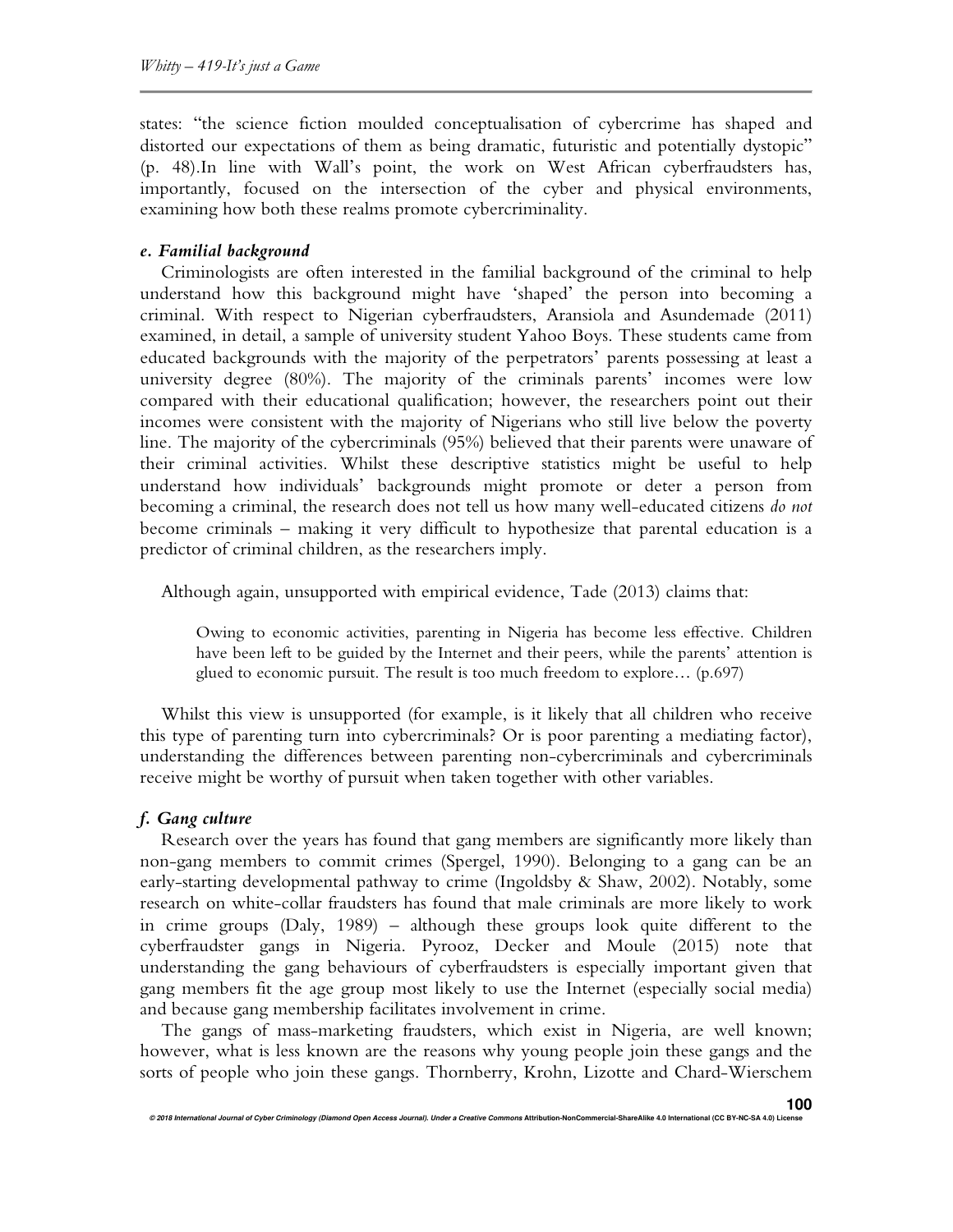states: "the science fiction moulded conceptualisation of cybercrime has shaped and distorted our expectations of them as being dramatic, futuristic and potentially dystopic" (p. 48).In line with Wall's point, the work on West African cyberfraudsters has, importantly, focused on the intersection of the cyber and physical environments, examining how both these realms promote cybercriminality.

### *e. Familial background*

Criminologists are often interested in the familial background of the criminal to help understand how this background might have 'shaped' the person into becoming a criminal. With respect to Nigerian cyberfraudsters, Aransiola and Asundemade (2011) examined, in detail, a sample of university student Yahoo Boys. These students came from educated backgrounds with the majority of the perpetrators' parents possessing at least a university degree (80%). The majority of the criminals parents' incomes were low compared with their educational qualification; however, the researchers point out their incomes were consistent with the majority of Nigerians who still live below the poverty line. The majority of the cybercriminals (95%) believed that their parents were unaware of their criminal activities. Whilst these descriptive statistics might be useful to help understand how individuals' backgrounds might promote or deter a person from becoming a criminal, the research does not tell us how many well-educated citizens *do not* become criminals – making it very difficult to hypothesize that parental education is a predictor of criminal children, as the researchers imply.

Although again, unsupported with empirical evidence, Tade (2013) claims that:

Owing to economic activities, parenting in Nigeria has become less effective. Children have been left to be guided by the Internet and their peers, while the parents' attention is glued to economic pursuit. The result is too much freedom to explore… (p.697)

Whilst this view is unsupported (for example, is it likely that all children who receive this type of parenting turn into cybercriminals? Or is poor parenting a mediating factor), understanding the differences between parenting non-cybercriminals and cybercriminals receive might be worthy of pursuit when taken together with other variables.

#### *f. Gang culture*

Research over the years has found that gang members are significantly more likely than non-gang members to commit crimes (Spergel, 1990). Belonging to a gang can be an early-starting developmental pathway to crime (Ingoldsby & Shaw, 2002). Notably, some research on white-collar fraudsters has found that male criminals are more likely to work in crime groups (Daly, 1989) – although these groups look quite different to the cyberfraudster gangs in Nigeria. Pyrooz, Decker and Moule (2015) note that understanding the gang behaviours of cyberfraudsters is especially important given that gang members fit the age group most likely to use the Internet (especially social media) and because gang membership facilitates involvement in crime.

The gangs of mass-marketing fraudsters, which exist in Nigeria, are well known; however, what is less known are the reasons why young people join these gangs and the sorts of people who join these gangs. Thornberry, Krohn, Lizotte and Chard-Wierschem

**© 2018 International Journal of Cyber Criminology (Diamond Open Access Journal). Under a Creative Commons Attribution-NonCommercial-ShareAlike 4.0 International (CC BY-NC-SA 4.0) License**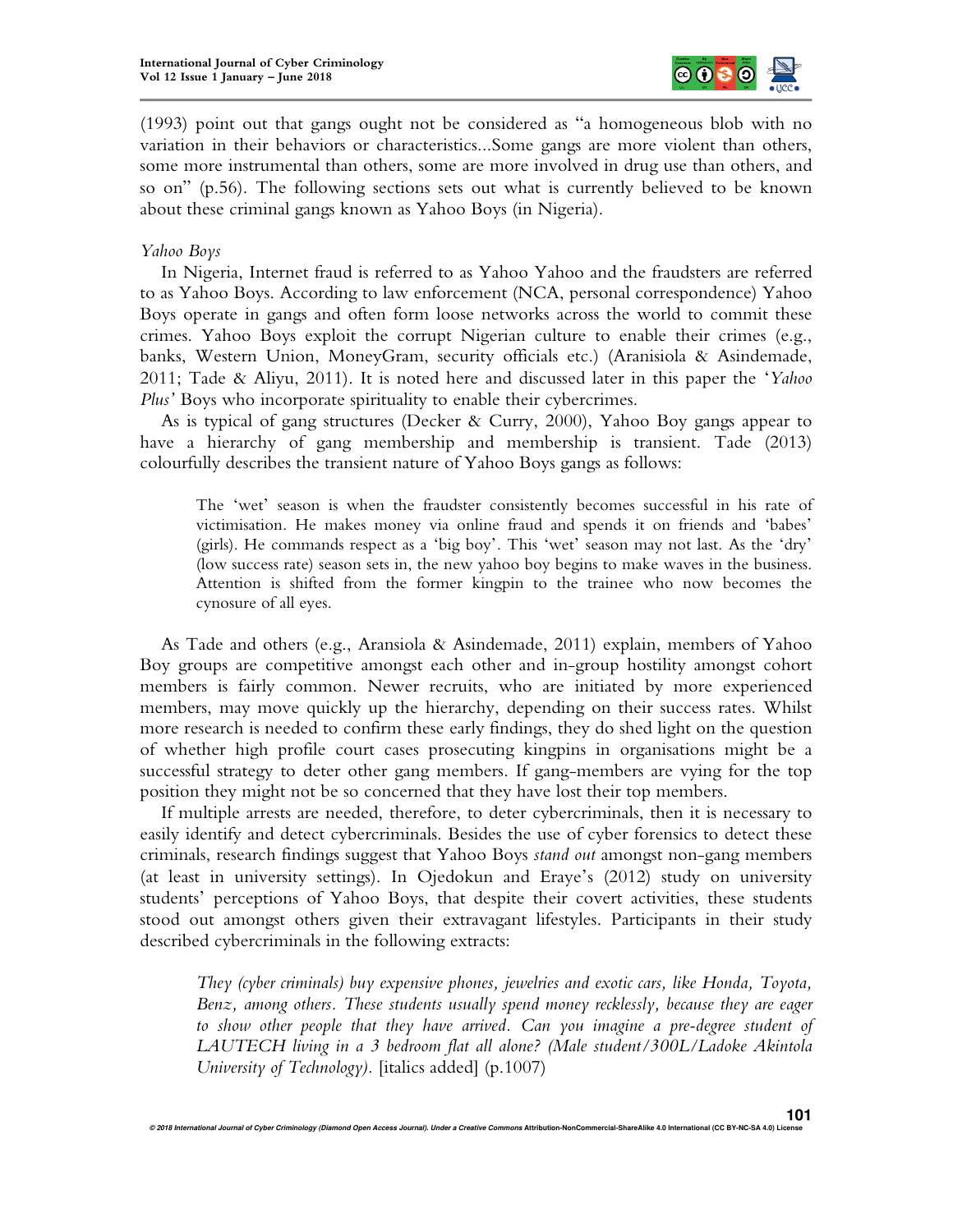

(1993) point out that gangs ought not be considered as "a homogeneous blob with no variation in their behaviors or characteristics...Some gangs are more violent than others, some more instrumental than others, some are more involved in drug use than others, and so on" (p.56). The following sections sets out what is currently believed to be known about these criminal gangs known as Yahoo Boys (in Nigeria).

# *Yahoo Boys*

In Nigeria, Internet fraud is referred to as Yahoo Yahoo and the fraudsters are referred to as Yahoo Boys. According to law enforcement (NCA, personal correspondence) Yahoo Boys operate in gangs and often form loose networks across the world to commit these crimes. Yahoo Boys exploit the corrupt Nigerian culture to enable their crimes (e.g., banks, Western Union, MoneyGram, security officials etc.) (Aranisiola & Asindemade, 2011; Tade & Aliyu, 2011). It is noted here and discussed later in this paper the '*Yahoo Plus'* Boys who incorporate spirituality to enable their cybercrimes.

As is typical of gang structures (Decker & Curry, 2000), Yahoo Boy gangs appear to have a hierarchy of gang membership and membership is transient. Tade (2013) colourfully describes the transient nature of Yahoo Boys gangs as follows:

The 'wet' season is when the fraudster consistently becomes successful in his rate of victimisation. He makes money via online fraud and spends it on friends and 'babes' (girls). He commands respect as a 'big boy'. This 'wet' season may not last. As the 'dry' (low success rate) season sets in, the new yahoo boy begins to make waves in the business. Attention is shifted from the former kingpin to the trainee who now becomes the cynosure of all eyes.

As Tade and others (e.g., Aransiola & Asindemade, 2011) explain, members of Yahoo Boy groups are competitive amongst each other and in-group hostility amongst cohort members is fairly common. Newer recruits, who are initiated by more experienced members, may move quickly up the hierarchy, depending on their success rates. Whilst more research is needed to confirm these early findings, they do shed light on the question of whether high profile court cases prosecuting kingpins in organisations might be a successful strategy to deter other gang members. If gang-members are vying for the top position they might not be so concerned that they have lost their top members.

If multiple arrests are needed, therefore, to deter cybercriminals, then it is necessary to easily identify and detect cybercriminals. Besides the use of cyber forensics to detect these criminals, research findings suggest that Yahoo Boys *stand out* amongst non-gang members (at least in university settings). In Ojedokun and Eraye's (2012) study on university students' perceptions of Yahoo Boys, that despite their covert activities, these students stood out amongst others given their extravagant lifestyles. Participants in their study described cybercriminals in the following extracts:

*They (cyber criminals) buy expensive phones, jewelries and exotic cars, like Honda, Toyota, Benz, among others. These students usually spend money recklessly, because they are eager*  to show other people that they have arrived. Can you imagine a pre-degree student of *LAUTECH living in a 3 bedroom flat all alone? (Male student/300L/Ladoke Akintola University of Technology).* [italics added] (p.1007)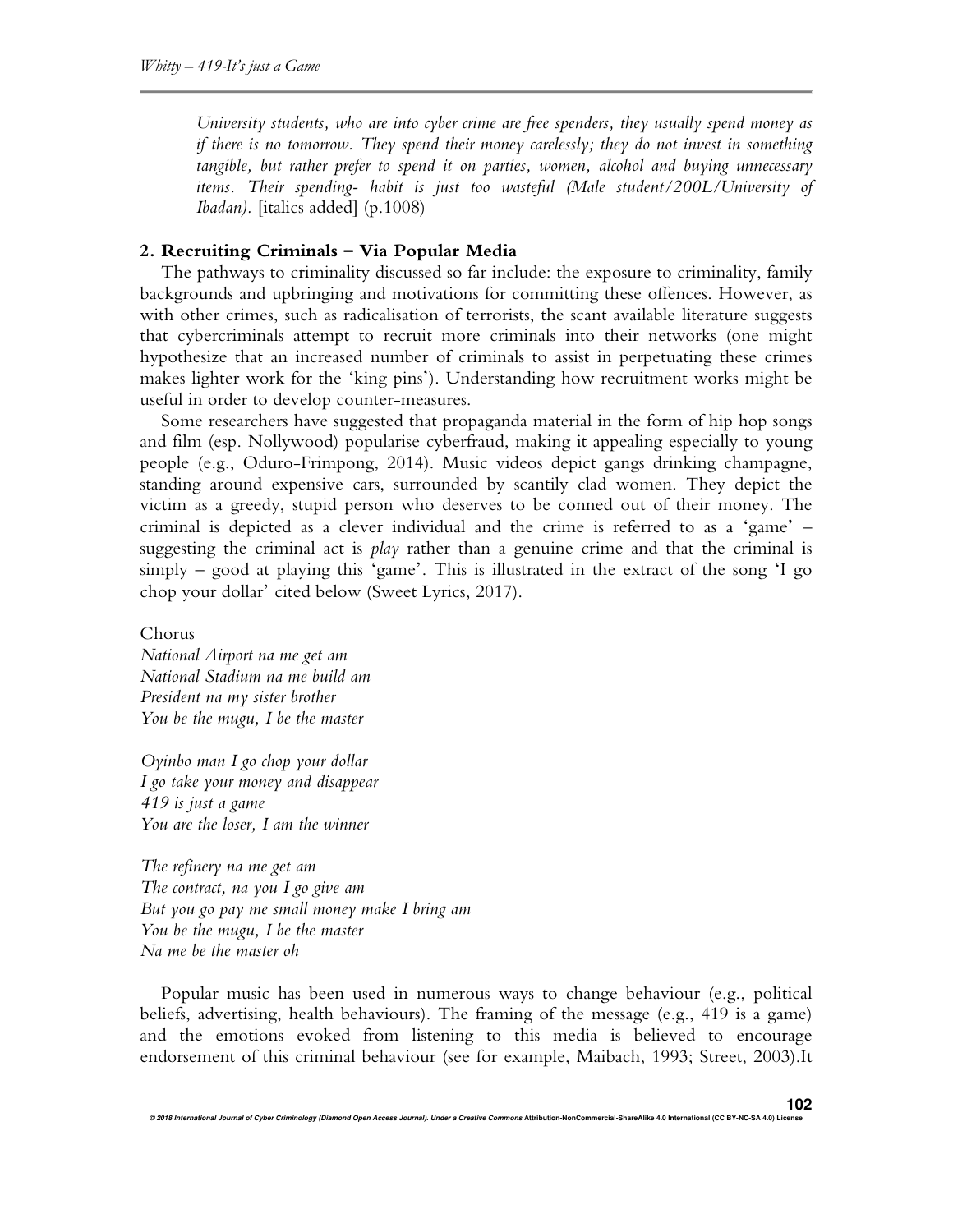*University students, who are into cyber crime are free spenders, they usually spend money as if there is no tomorrow. They spend their money carelessly; they do not invest in something tangible, but rather prefer to spend it on parties, women, alcohol and buying unnecessary items. Their spending- habit is just too wasteful (Male student/200L/University of Ibadan).* [italics added] (p.1008)

## **2. Recruiting Criminals – Via Popular Media**

The pathways to criminality discussed so far include: the exposure to criminality, family backgrounds and upbringing and motivations for committing these offences. However, as with other crimes, such as radicalisation of terrorists, the scant available literature suggests that cybercriminals attempt to recruit more criminals into their networks (one might hypothesize that an increased number of criminals to assist in perpetuating these crimes makes lighter work for the 'king pins'). Understanding how recruitment works might be useful in order to develop counter-measures.

Some researchers have suggested that propaganda material in the form of hip hop songs and film (esp. Nollywood) popularise cyberfraud, making it appealing especially to young people (e.g., Oduro-Frimpong, 2014). Music videos depict gangs drinking champagne, standing around expensive cars, surrounded by scantily clad women. They depict the victim as a greedy, stupid person who deserves to be conned out of their money. The criminal is depicted as a clever individual and the crime is referred to as a 'game' – suggesting the criminal act is *play* rather than a genuine crime and that the criminal is simply – good at playing this 'game'. This is illustrated in the extract of the song 'I go chop your dollar' cited below (Sweet Lyrics, 2017).

Chorus *National Airport na me get am National Stadium na me build am President na my sister brother You be the mugu, I be the master* 

*Oyinbo man I go chop your dollar I go take your money and disappear 419 is just a game You are the loser, I am the winner* 

*The refinery na me get am The contract, na you I go give am But you go pay me small money make I bring am You be the mugu, I be the master Na me be the master oh* 

Popular music has been used in numerous ways to change behaviour (e.g., political beliefs, advertising, health behaviours). The framing of the message (e.g., 419 is a game) and the emotions evoked from listening to this media is believed to encourage endorsement of this criminal behaviour (see for example, Maibach, 1993; Street, 2003).It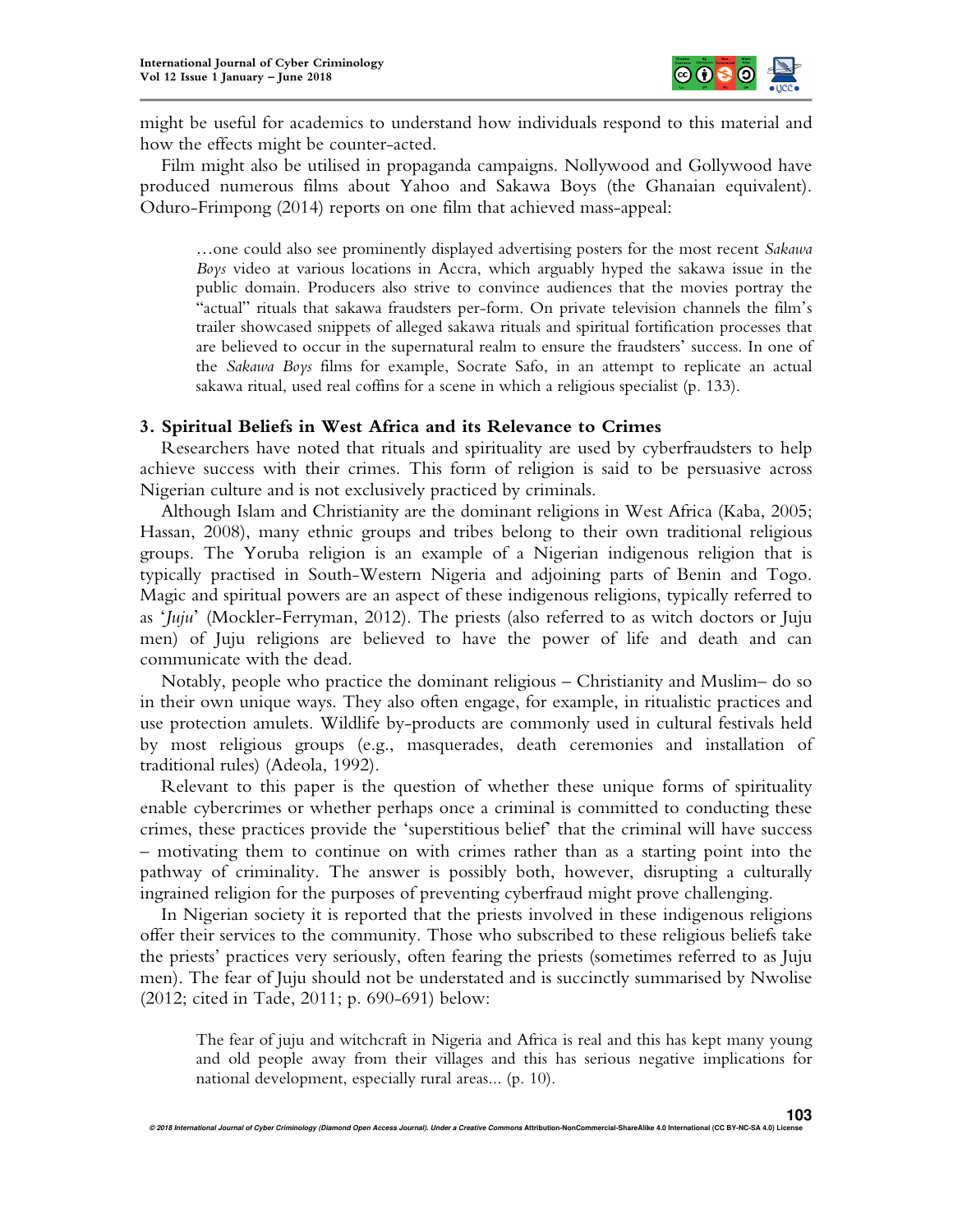

might be useful for academics to understand how individuals respond to this material and how the effects might be counter-acted.

Film might also be utilised in propaganda campaigns. Nollywood and Gollywood have produced numerous films about Yahoo and Sakawa Boys (the Ghanaian equivalent). Oduro-Frimpong (2014) reports on one film that achieved mass-appeal:

…one could also see prominently displayed advertising posters for the most recent *Sakawa Boys* video at various locations in Accra, which arguably hyped the sakawa issue in the public domain. Producers also strive to convince audiences that the movies portray the "actual" rituals that sakawa fraudsters per-form. On private television channels the film's trailer showcased snippets of alleged sakawa rituals and spiritual fortification processes that are believed to occur in the supernatural realm to ensure the fraudsters' success. In one of the *Sakawa Boys* films for example, Socrate Safo, in an attempt to replicate an actual sakawa ritual, used real coffins for a scene in which a religious specialist (p. 133).

#### **3. Spiritual Beliefs in West Africa and its Relevance to Crimes**

Researchers have noted that rituals and spirituality are used by cyberfraudsters to help achieve success with their crimes. This form of religion is said to be persuasive across Nigerian culture and is not exclusively practiced by criminals.

Although Islam and Christianity are the dominant religions in West Africa (Kaba, 2005; Hassan, 2008), many ethnic groups and tribes belong to their own traditional religious groups. The Yoruba religion is an example of a Nigerian indigenous religion that is typically practised in South-Western Nigeria and adjoining parts of Benin and Togo. Magic and spiritual powers are an aspect of these indigenous religions, typically referred to as '*Juju*' (Mockler-Ferryman, 2012). The priests (also referred to as witch doctors or Juju men) of Juju religions are believed to have the power of life and death and can communicate with the dead.

Notably, people who practice the dominant religious – Christianity and Muslim– do so in their own unique ways. They also often engage, for example, in ritualistic practices and use protection amulets. Wildlife by-products are commonly used in cultural festivals held by most religious groups (e.g., masquerades, death ceremonies and installation of traditional rules) (Adeola, 1992).

Relevant to this paper is the question of whether these unique forms of spirituality enable cybercrimes or whether perhaps once a criminal is committed to conducting these crimes, these practices provide the 'superstitious belief' that the criminal will have success – motivating them to continue on with crimes rather than as a starting point into the pathway of criminality. The answer is possibly both, however, disrupting a culturally ingrained religion for the purposes of preventing cyberfraud might prove challenging.

In Nigerian society it is reported that the priests involved in these indigenous religions offer their services to the community. Those who subscribed to these religious beliefs take the priests' practices very seriously, often fearing the priests (sometimes referred to as Juju men). The fear of Juju should not be understated and is succinctly summarised by Nwolise (2012; cited in Tade, 2011; p. 690-691) below:

The fear of juju and witchcraft in Nigeria and Africa is real and this has kept many young and old people away from their villages and this has serious negative implications for national development, especially rural areas... (p. 10).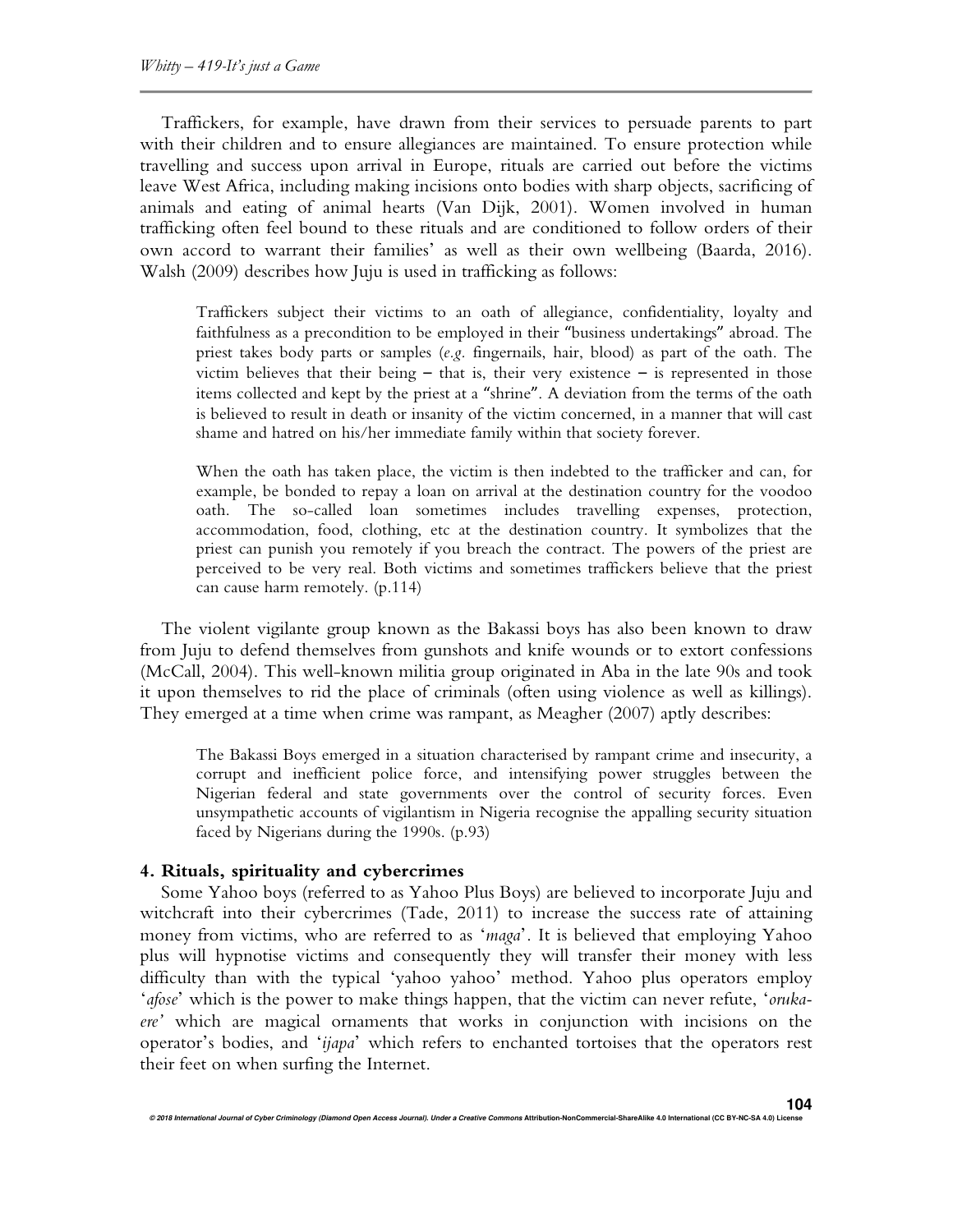Traffickers, for example, have drawn from their services to persuade parents to part with their children and to ensure allegiances are maintained. To ensure protection while travelling and success upon arrival in Europe, rituals are carried out before the victims leave West Africa, including making incisions onto bodies with sharp objects, sacrificing of animals and eating of animal hearts (Van Dijk, 2001). Women involved in human trafficking often feel bound to these rituals and are conditioned to follow orders of their own accord to warrant their families' as well as their own wellbeing (Baarda, 2016). Walsh (2009) describes how Juju is used in trafficking as follows:

Traffickers subject their victims to an oath of allegiance, confidentiality, loyalty and faithfulness as a precondition to be employed in their "business undertakings" abroad. The priest takes body parts or samples (*e.g.* fingernails, hair, blood) as part of the oath. The victim believes that their being – that is, their very existence – is represented in those items collected and kept by the priest at a "shrine". A deviation from the terms of the oath is believed to result in death or insanity of the victim concerned, in a manner that will cast shame and hatred on his/her immediate family within that society forever.

When the oath has taken place, the victim is then indebted to the trafficker and can, for example, be bonded to repay a loan on arrival at the destination country for the voodoo oath. The so-called loan sometimes includes travelling expenses, protection, accommodation, food, clothing, etc at the destination country. It symbolizes that the priest can punish you remotely if you breach the contract. The powers of the priest are perceived to be very real. Both victims and sometimes traffickers believe that the priest can cause harm remotely. (p.114)

The violent vigilante group known as the Bakassi boys has also been known to draw from Juju to defend themselves from gunshots and knife wounds or to extort confessions (McCall, 2004). This well-known militia group originated in Aba in the late 90s and took it upon themselves to rid the place of criminals (often using violence as well as killings). They emerged at a time when crime was rampant, as Meagher (2007) aptly describes:

The Bakassi Boys emerged in a situation characterised by rampant crime and insecurity, a corrupt and inefficient police force, and intensifying power struggles between the Nigerian federal and state governments over the control of security forces. Even unsympathetic accounts of vigilantism in Nigeria recognise the appalling security situation faced by Nigerians during the 1990s. (p.93)

#### **4. Rituals, spirituality and cybercrimes**

Some Yahoo boys (referred to as Yahoo Plus Boys) are believed to incorporate Juju and witchcraft into their cybercrimes (Tade, 2011) to increase the success rate of attaining money from victims, who are referred to as '*maga*'. It is believed that employing Yahoo plus will hypnotise victims and consequently they will transfer their money with less difficulty than with the typical 'yahoo yahoo' method. Yahoo plus operators employ '*afose*' which is the power to make things happen, that the victim can never refute, '*orukaere'* which are magical ornaments that works in conjunction with incisions on the operator's bodies, and '*ijapa*' which refers to enchanted tortoises that the operators rest their feet on when surfing the Internet.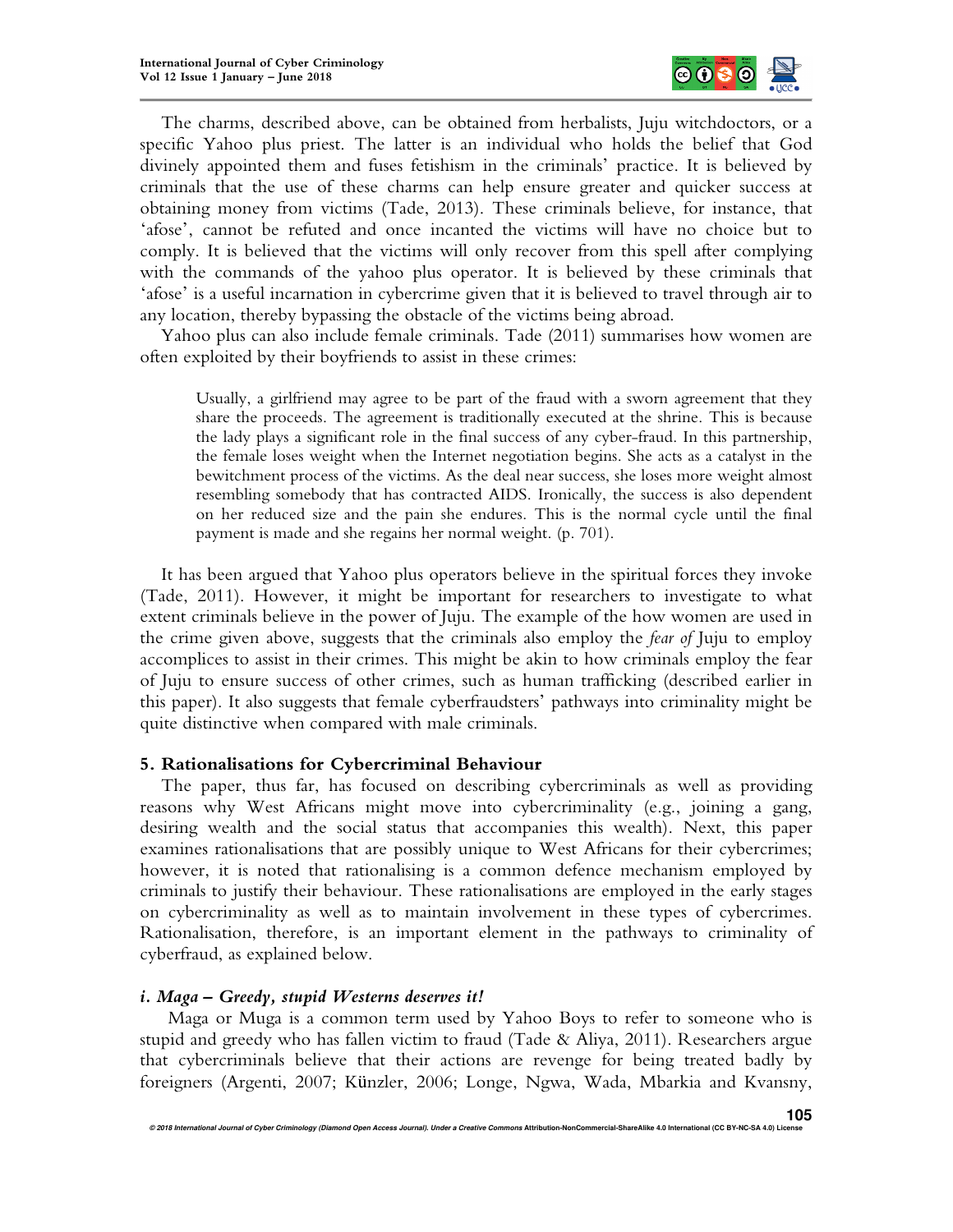

The charms, described above, can be obtained from herbalists, Juju witchdoctors, or a specific Yahoo plus priest. The latter is an individual who holds the belief that God divinely appointed them and fuses fetishism in the criminals' practice. It is believed by criminals that the use of these charms can help ensure greater and quicker success at obtaining money from victims (Tade, 2013). These criminals believe, for instance, that 'afose', cannot be refuted and once incanted the victims will have no choice but to comply. It is believed that the victims will only recover from this spell after complying with the commands of the yahoo plus operator. It is believed by these criminals that 'afose' is a useful incarnation in cybercrime given that it is believed to travel through air to any location, thereby bypassing the obstacle of the victims being abroad.

Yahoo plus can also include female criminals. Tade (2011) summarises how women are often exploited by their boyfriends to assist in these crimes:

Usually, a girlfriend may agree to be part of the fraud with a sworn agreement that they share the proceeds. The agreement is traditionally executed at the shrine. This is because the lady plays a significant role in the final success of any cyber-fraud. In this partnership, the female loses weight when the Internet negotiation begins. She acts as a catalyst in the bewitchment process of the victims. As the deal near success, she loses more weight almost resembling somebody that has contracted AIDS. Ironically, the success is also dependent on her reduced size and the pain she endures. This is the normal cycle until the final payment is made and she regains her normal weight. (p. 701).

It has been argued that Yahoo plus operators believe in the spiritual forces they invoke (Tade, 2011). However, it might be important for researchers to investigate to what extent criminals believe in the power of Juju. The example of the how women are used in the crime given above, suggests that the criminals also employ the *fear of* Juju to employ accomplices to assist in their crimes. This might be akin to how criminals employ the fear of Juju to ensure success of other crimes, such as human trafficking (described earlier in this paper). It also suggests that female cyberfraudsters' pathways into criminality might be quite distinctive when compared with male criminals.

# **5. Rationalisations for Cybercriminal Behaviour**

The paper, thus far, has focused on describing cybercriminals as well as providing reasons why West Africans might move into cybercriminality (e.g., joining a gang, desiring wealth and the social status that accompanies this wealth). Next, this paper examines rationalisations that are possibly unique to West Africans for their cybercrimes; however, it is noted that rationalising is a common defence mechanism employed by criminals to justify their behaviour. These rationalisations are employed in the early stages on cybercriminality as well as to maintain involvement in these types of cybercrimes. Rationalisation, therefore, is an important element in the pathways to criminality of cyberfraud, as explained below.

# *i. Maga – Greedy, stupid Westerns deserves it!*

Maga or Muga is a common term used by Yahoo Boys to refer to someone who is stupid and greedy who has fallen victim to fraud (Tade & Aliya, 2011). Researchers argue that cybercriminals believe that their actions are revenge for being treated badly by foreigners (Argenti, 2007; Künzler, 2006; Longe, Ngwa, Wada, Mbarkia and Kvansny,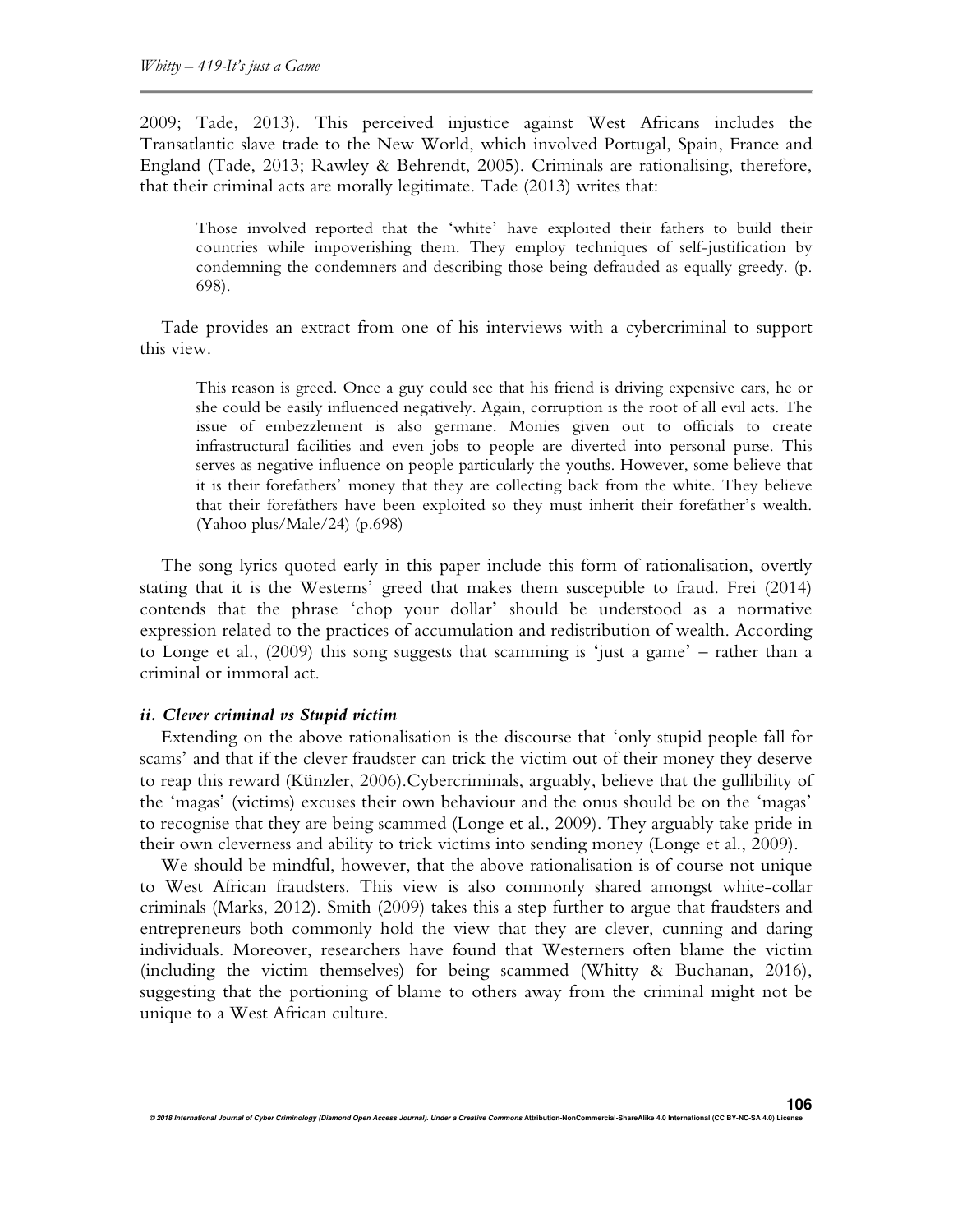2009; Tade, 2013). This perceived injustice against West Africans includes the Transatlantic slave trade to the New World, which involved Portugal, Spain, France and England (Tade, 2013; Rawley & Behrendt, 2005). Criminals are rationalising, therefore, that their criminal acts are morally legitimate. Tade (2013) writes that:

Those involved reported that the 'white' have exploited their fathers to build their countries while impoverishing them. They employ techniques of self-justification by condemning the condemners and describing those being defrauded as equally greedy. (p. 698).

Tade provides an extract from one of his interviews with a cybercriminal to support this view.

This reason is greed. Once a guy could see that his friend is driving expensive cars, he or she could be easily influenced negatively. Again, corruption is the root of all evil acts. The issue of embezzlement is also germane. Monies given out to officials to create infrastructural facilities and even jobs to people are diverted into personal purse. This serves as negative influence on people particularly the youths. However, some believe that it is their forefathers' money that they are collecting back from the white. They believe that their forefathers have been exploited so they must inherit their forefather's wealth. (Yahoo plus/Male/24) (p.698)

The song lyrics quoted early in this paper include this form of rationalisation, overtly stating that it is the Westerns' greed that makes them susceptible to fraud. Frei (2014) contends that the phrase 'chop your dollar' should be understood as a normative expression related to the practices of accumulation and redistribution of wealth. According to Longe et al., (2009) this song suggests that scamming is 'just a game' – rather than a criminal or immoral act.

#### *ii. Clever criminal vs Stupid victim*

Extending on the above rationalisation is the discourse that 'only stupid people fall for scams' and that if the clever fraudster can trick the victim out of their money they deserve to reap this reward (Künzler, 2006).Cybercriminals, arguably, believe that the gullibility of the 'magas' (victims) excuses their own behaviour and the onus should be on the 'magas' to recognise that they are being scammed (Longe et al., 2009). They arguably take pride in their own cleverness and ability to trick victims into sending money (Longe et al., 2009).

We should be mindful, however, that the above rationalisation is of course not unique to West African fraudsters. This view is also commonly shared amongst white-collar criminals (Marks, 2012). Smith (2009) takes this a step further to argue that fraudsters and entrepreneurs both commonly hold the view that they are clever, cunning and daring individuals. Moreover, researchers have found that Westerners often blame the victim (including the victim themselves) for being scammed (Whitty & Buchanan, 2016), suggesting that the portioning of blame to others away from the criminal might not be unique to a West African culture.

**106**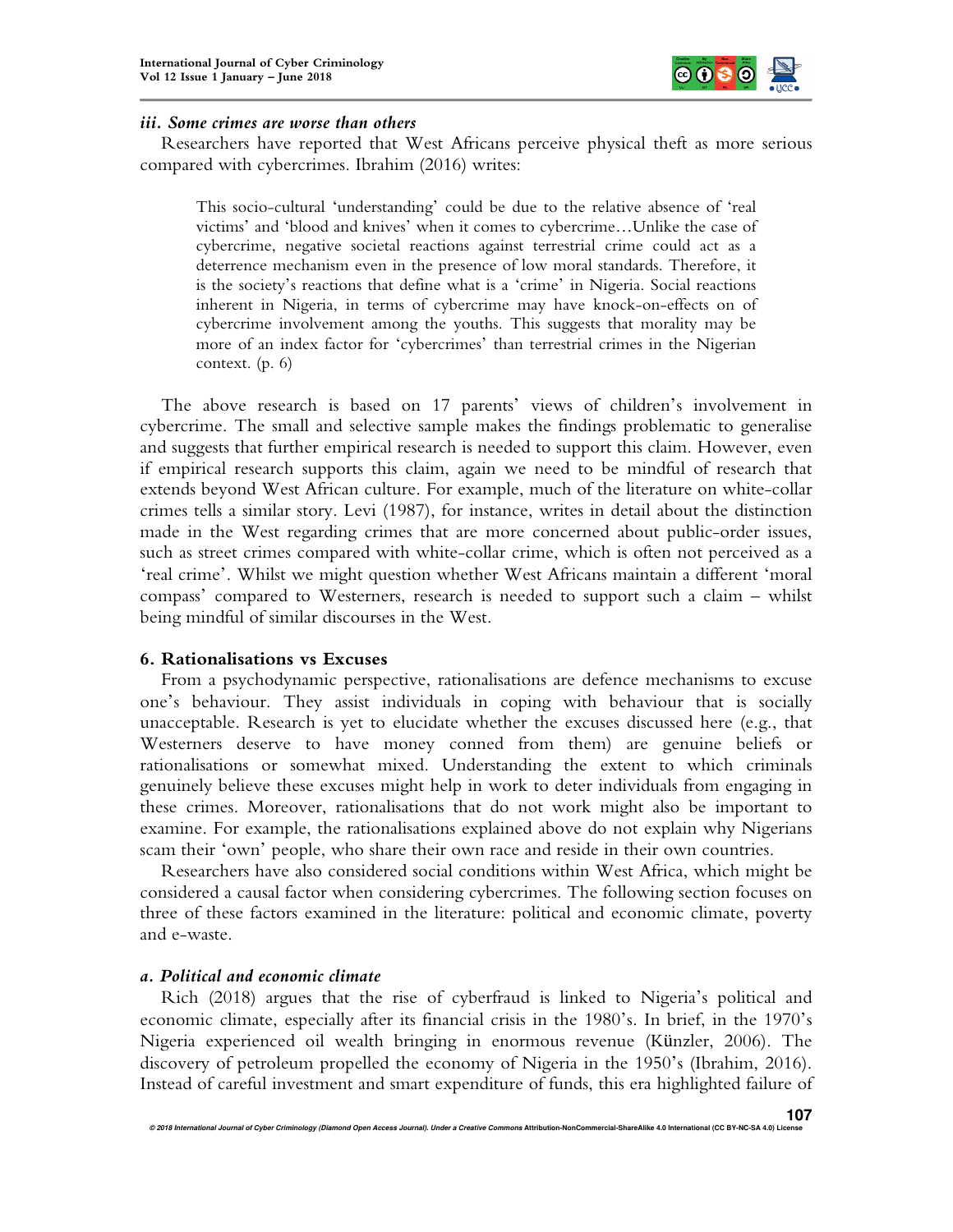

# *iii. Some crimes are worse than others*

Researchers have reported that West Africans perceive physical theft as more serious compared with cybercrimes. Ibrahim (2016) writes:

This socio-cultural 'understanding' could be due to the relative absence of 'real victims' and 'blood and knives' when it comes to cybercrime…Unlike the case of cybercrime, negative societal reactions against terrestrial crime could act as a deterrence mechanism even in the presence of low moral standards. Therefore, it is the society's reactions that define what is a 'crime' in Nigeria. Social reactions inherent in Nigeria, in terms of cybercrime may have knock-on-effects on of cybercrime involvement among the youths. This suggests that morality may be more of an index factor for 'cybercrimes' than terrestrial crimes in the Nigerian context. (p. 6)

The above research is based on 17 parents' views of children's involvement in cybercrime. The small and selective sample makes the findings problematic to generalise and suggests that further empirical research is needed to support this claim. However, even if empirical research supports this claim, again we need to be mindful of research that extends beyond West African culture. For example, much of the literature on white-collar crimes tells a similar story. Levi (1987), for instance, writes in detail about the distinction made in the West regarding crimes that are more concerned about public-order issues, such as street crimes compared with white-collar crime, which is often not perceived as a 'real crime'. Whilst we might question whether West Africans maintain a different 'moral compass' compared to Westerners, research is needed to support such a claim – whilst being mindful of similar discourses in the West.

# **6. Rationalisations vs Excuses**

From a psychodynamic perspective, rationalisations are defence mechanisms to excuse one's behaviour. They assist individuals in coping with behaviour that is socially unacceptable. Research is yet to elucidate whether the excuses discussed here (e.g., that Westerners deserve to have money conned from them) are genuine beliefs or rationalisations or somewhat mixed. Understanding the extent to which criminals genuinely believe these excuses might help in work to deter individuals from engaging in these crimes. Moreover, rationalisations that do not work might also be important to examine. For example, the rationalisations explained above do not explain why Nigerians scam their 'own' people, who share their own race and reside in their own countries.

Researchers have also considered social conditions within West Africa, which might be considered a causal factor when considering cybercrimes. The following section focuses on three of these factors examined in the literature: political and economic climate, poverty and e-waste.

# *a. Political and economic climate*

Rich (2018) argues that the rise of cyberfraud is linked to Nigeria's political and economic climate, especially after its financial crisis in the 1980's. In brief, in the 1970's Nigeria experienced oil wealth bringing in enormous revenue (Künzler, 2006). The discovery of petroleum propelled the economy of Nigeria in the 1950's (Ibrahim, 2016). Instead of careful investment and smart expenditure of funds, this era highlighted failure of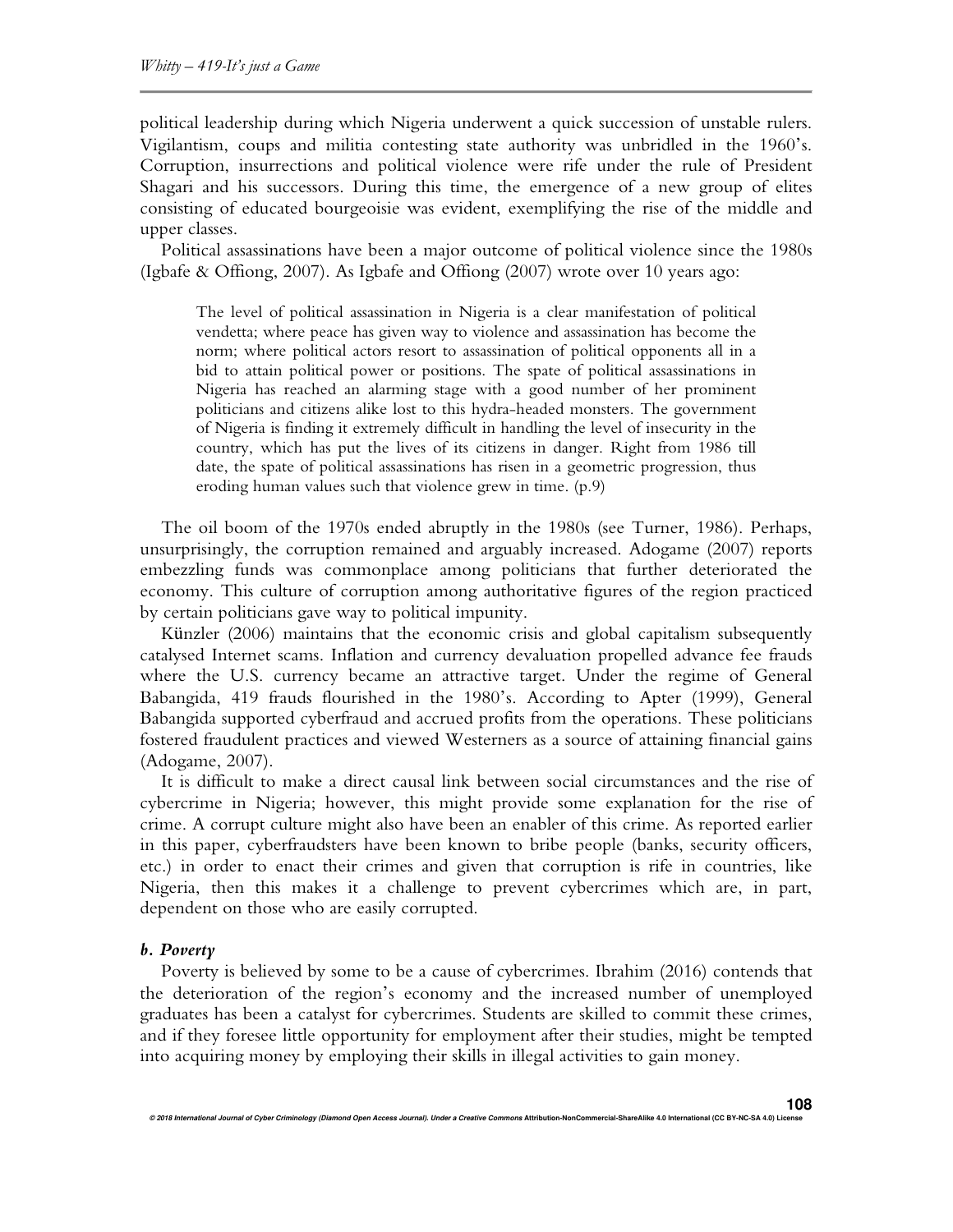political leadership during which Nigeria underwent a quick succession of unstable rulers. Vigilantism, coups and militia contesting state authority was unbridled in the 1960's. Corruption, insurrections and political violence were rife under the rule of President Shagari and his successors. During this time, the emergence of a new group of elites consisting of educated bourgeoisie was evident, exemplifying the rise of the middle and upper classes.

Political assassinations have been a major outcome of political violence since the 1980s (Igbafe & Offiong, 2007). As Igbafe and Offiong (2007) wrote over 10 years ago:

The level of political assassination in Nigeria is a clear manifestation of political vendetta; where peace has given way to violence and assassination has become the norm; where political actors resort to assassination of political opponents all in a bid to attain political power or positions. The spate of political assassinations in Nigeria has reached an alarming stage with a good number of her prominent politicians and citizens alike lost to this hydra-headed monsters. The government of Nigeria is finding it extremely difficult in handling the level of insecurity in the country, which has put the lives of its citizens in danger. Right from 1986 till date, the spate of political assassinations has risen in a geometric progression, thus eroding human values such that violence grew in time. (p.9)

The oil boom of the 1970s ended abruptly in the 1980s (see Turner, 1986). Perhaps, unsurprisingly, the corruption remained and arguably increased. Adogame (2007) reports embezzling funds was commonplace among politicians that further deteriorated the economy. This culture of corruption among authoritative figures of the region practiced by certain politicians gave way to political impunity.

Künzler (2006) maintains that the economic crisis and global capitalism subsequently catalysed Internet scams. Inflation and currency devaluation propelled advance fee frauds where the U.S. currency became an attractive target. Under the regime of General Babangida, 419 frauds flourished in the 1980's. According to Apter (1999), General Babangida supported cyberfraud and accrued profits from the operations. These politicians fostered fraudulent practices and viewed Westerners as a source of attaining financial gains (Adogame, 2007).

It is difficult to make a direct causal link between social circumstances and the rise of cybercrime in Nigeria; however, this might provide some explanation for the rise of crime. A corrupt culture might also have been an enabler of this crime. As reported earlier in this paper, cyberfraudsters have been known to bribe people (banks, security officers, etc.) in order to enact their crimes and given that corruption is rife in countries, like Nigeria, then this makes it a challenge to prevent cybercrimes which are, in part, dependent on those who are easily corrupted.

#### *b. Poverty*

Poverty is believed by some to be a cause of cybercrimes. Ibrahim (2016) contends that the deterioration of the region's economy and the increased number of unemployed graduates has been a catalyst for cybercrimes. Students are skilled to commit these crimes, and if they foresee little opportunity for employment after their studies, might be tempted into acquiring money by employing their skills in illegal activities to gain money.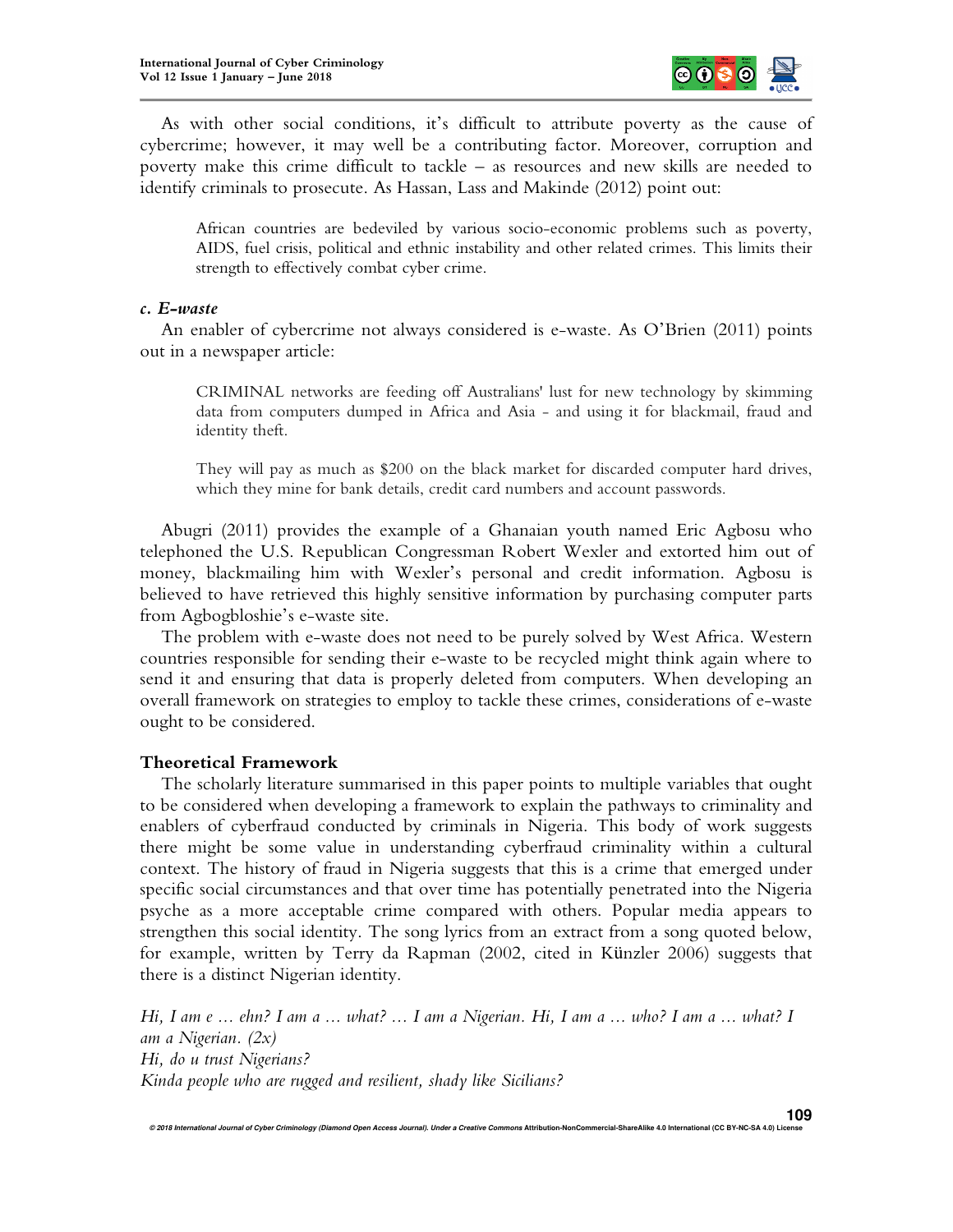

As with other social conditions, it's difficult to attribute poverty as the cause of cybercrime; however, it may well be a contributing factor. Moreover, corruption and poverty make this crime difficult to tackle – as resources and new skills are needed to identify criminals to prosecute. As Hassan, Lass and Makinde (2012) point out:

African countries are bedeviled by various socio-economic problems such as poverty, AIDS, fuel crisis, political and ethnic instability and other related crimes. This limits their strength to effectively combat cyber crime.

## *c. E-waste*

An enabler of cybercrime not always considered is e-waste. As O'Brien (2011) points out in a newspaper article:

CRIMINAL networks are feeding off Australians' lust for new technology by skimming data from computers dumped in Africa and Asia - and using it for blackmail, fraud and identity theft.

They will pay as much as \$200 on the black market for discarded computer hard drives, which they mine for bank details, credit card numbers and account passwords.

Abugri (2011) provides the example of a Ghanaian youth named Eric Agbosu who telephoned the U.S. Republican Congressman Robert Wexler and extorted him out of money, blackmailing him with Wexler's personal and credit information. Agbosu is believed to have retrieved this highly sensitive information by purchasing computer parts from Agbogbloshie's e-waste site.

The problem with e-waste does not need to be purely solved by West Africa. Western countries responsible for sending their e-waste to be recycled might think again where to send it and ensuring that data is properly deleted from computers. When developing an overall framework on strategies to employ to tackle these crimes, considerations of e-waste ought to be considered.

# **Theoretical Framework**

The scholarly literature summarised in this paper points to multiple variables that ought to be considered when developing a framework to explain the pathways to criminality and enablers of cyberfraud conducted by criminals in Nigeria. This body of work suggests there might be some value in understanding cyberfraud criminality within a cultural context. The history of fraud in Nigeria suggests that this is a crime that emerged under specific social circumstances and that over time has potentially penetrated into the Nigeria psyche as a more acceptable crime compared with others. Popular media appears to strengthen this social identity. The song lyrics from an extract from a song quoted below, for example, written by Terry da Rapman (2002, cited in Künzler 2006) suggests that there is a distinct Nigerian identity.

*Hi, I am e ... ehn? I am a ... what? ... I am a Nigerian. Hi, I am a ... who? I am a ... what? I am a Nigerian. (2x) Hi, do u trust Nigerians? Kinda people who are rugged and resilient, shady like Sicilians?*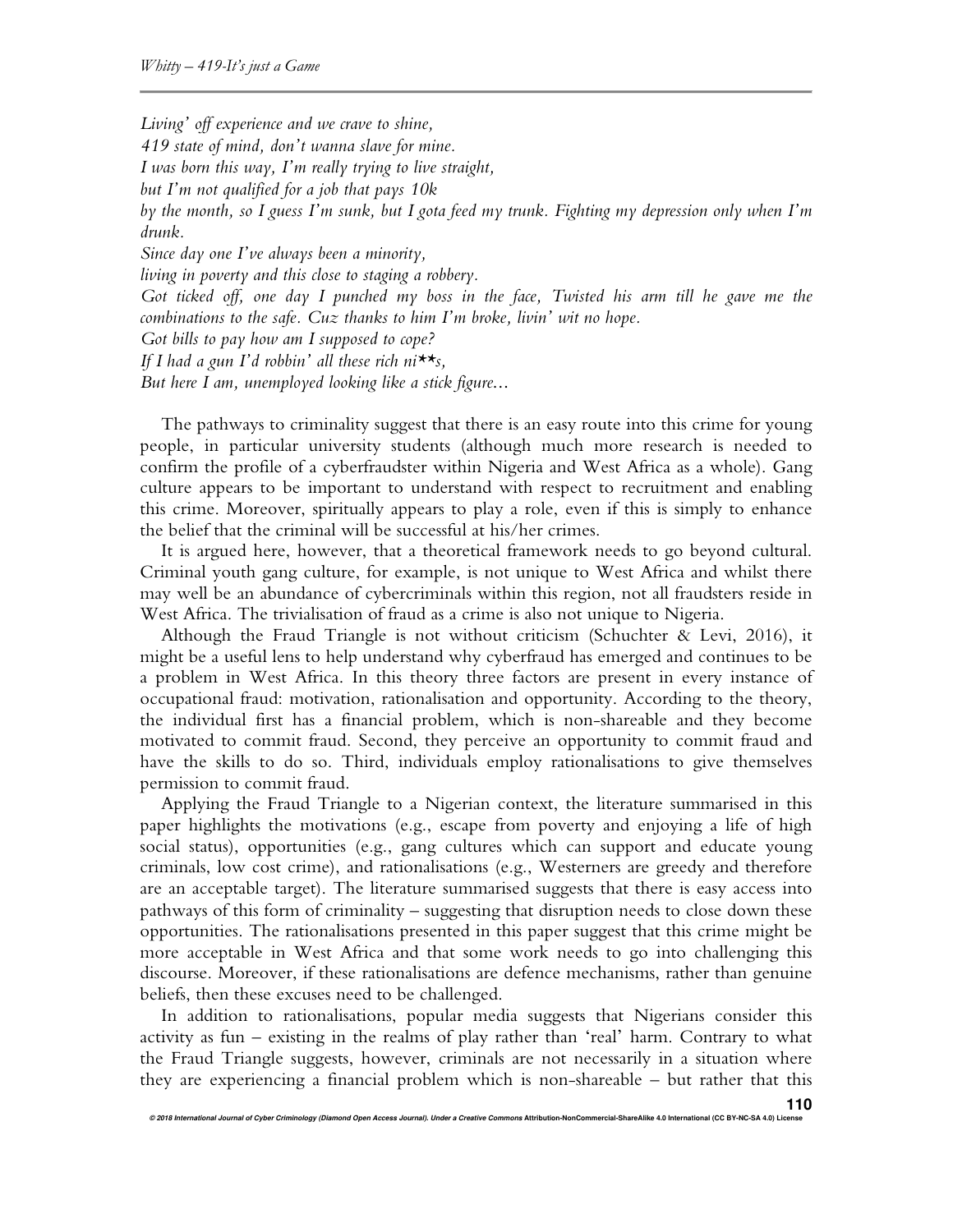*Living' off experience and we crave to shine, 419 state of mind, don't wanna slave for mine. I was born this way, I'm really trying to live straight, but I'm not qualified for a job that pays 10k by the month, so I guess I'm sunk, but I gota feed my trunk. Fighting my depression only when I'm drunk. Since day one I've always been a minority, living in poverty and this close to staging a robbery. Got ticked off, one day I punched my boss in the face, Twisted his arm till he gave me the combinations to the safe. Cuz thanks to him I'm broke, livin' wit no hope. Got bills to pay how am I supposed to cope? If I had a gun I'd robbin' all these rich ni\*\*s, But here I am, unemployed looking like a stick figure…*

The pathways to criminality suggest that there is an easy route into this crime for young people, in particular university students (although much more research is needed to confirm the profile of a cyberfraudster within Nigeria and West Africa as a whole). Gang culture appears to be important to understand with respect to recruitment and enabling this crime. Moreover, spiritually appears to play a role, even if this is simply to enhance the belief that the criminal will be successful at his/her crimes.

It is argued here, however, that a theoretical framework needs to go beyond cultural. Criminal youth gang culture, for example, is not unique to West Africa and whilst there may well be an abundance of cybercriminals within this region, not all fraudsters reside in West Africa. The trivialisation of fraud as a crime is also not unique to Nigeria.

Although the Fraud Triangle is not without criticism (Schuchter & Levi, 2016), it might be a useful lens to help understand why cyberfraud has emerged and continues to be a problem in West Africa. In this theory three factors are present in every instance of occupational fraud: motivation, rationalisation and opportunity. According to the theory, the individual first has a financial problem, which is non-shareable and they become motivated to commit fraud. Second, they perceive an opportunity to commit fraud and have the skills to do so. Third, individuals employ rationalisations to give themselves permission to commit fraud.

Applying the Fraud Triangle to a Nigerian context, the literature summarised in this paper highlights the motivations (e.g., escape from poverty and enjoying a life of high social status), opportunities (e.g., gang cultures which can support and educate young criminals, low cost crime), and rationalisations (e.g., Westerners are greedy and therefore are an acceptable target). The literature summarised suggests that there is easy access into pathways of this form of criminality – suggesting that disruption needs to close down these opportunities. The rationalisations presented in this paper suggest that this crime might be more acceptable in West Africa and that some work needs to go into challenging this discourse. Moreover, if these rationalisations are defence mechanisms, rather than genuine beliefs, then these excuses need to be challenged.

In addition to rationalisations, popular media suggests that Nigerians consider this activity as fun – existing in the realms of play rather than 'real' harm. Contrary to what the Fraud Triangle suggests, however, criminals are not necessarily in a situation where they are experiencing a financial problem which is non-shareable – but rather that this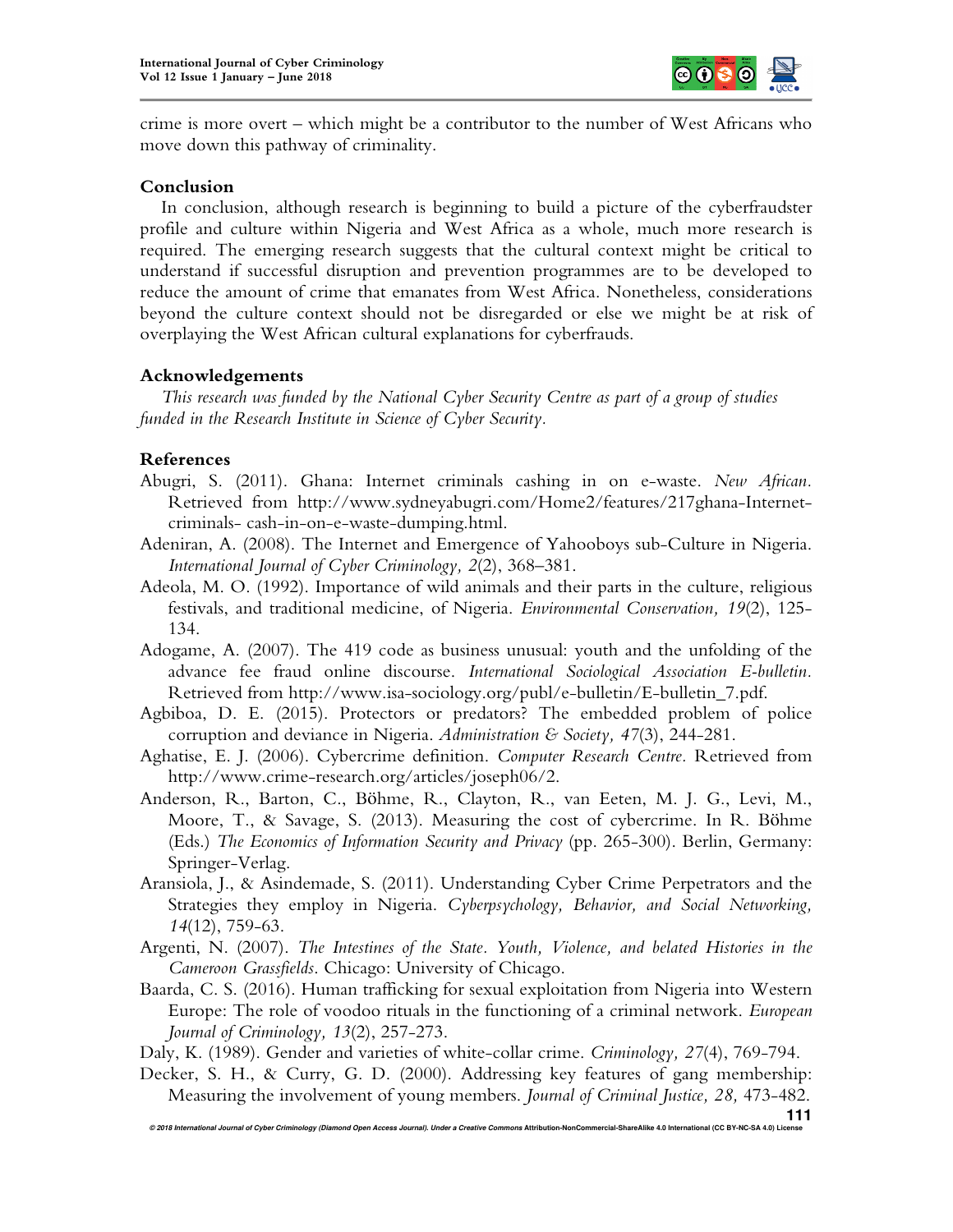

crime is more overt – which might be a contributor to the number of West Africans who move down this pathway of criminality.

# **Conclusion**

In conclusion, although research is beginning to build a picture of the cyberfraudster profile and culture within Nigeria and West Africa as a whole, much more research is required. The emerging research suggests that the cultural context might be critical to understand if successful disruption and prevention programmes are to be developed to reduce the amount of crime that emanates from West Africa. Nonetheless, considerations beyond the culture context should not be disregarded or else we might be at risk of overplaying the West African cultural explanations for cyberfrauds.

# **Acknowledgements**

*This research was funded by the National Cyber Security Centre as part of a group of studies funded in the Research Institute in Science of Cyber Security.* 

# **References**

- Abugri, S. (2011). Ghana: Internet criminals cashing in on e-waste. *New African.* Retrieved from http://www.sydneyabugri.com/Home2/features/217ghana-Internetcriminals- cash-in-on-e-waste-dumping.html.
- Adeniran, A. (2008). The Internet and Emergence of Yahooboys sub-Culture in Nigeria. *International Journal of Cyber Criminology, 2*(2), 368–381.
- Adeola, M. O. (1992). Importance of wild animals and their parts in the culture, religious festivals, and traditional medicine, of Nigeria. *Environmental Conservation, 19*(2), 125- 134.
- Adogame, A. (2007). The 419 code as business unusual: youth and the unfolding of the advance fee fraud online discourse. *International Sociological Association E-bulletin.* Retrieved from http://www.isa-sociology.org/publ/e-bulletin/E-bulletin\_7.pdf.
- Agbiboa, D. E. (2015). Protectors or predators? The embedded problem of police corruption and deviance in Nigeria. *Administration & Society, 47*(3), 244-281.
- Aghatise, E. J. (2006). Cybercrime definition. *Computer Research Centre.* Retrieved from http://www.crime-research.org/articles/joseph06/2.
- Anderson, R., Barton, C., Böhme, R., Clayton, R., van Eeten, M. J. G., Levi, M., Moore, T., & Savage, S. (2013). Measuring the cost of cybercrime. In R. Böhme (Eds.) *The Economics of Information Security and Privacy* (pp. 265-300). Berlin, Germany: Springer-Verlag.
- Aransiola, J., & Asindemade, S. (2011). Understanding Cyber Crime Perpetrators and the Strategies they employ in Nigeria. *Cyberpsychology, Behavior, and Social Networking, 14*(12), 759-63.
- Argenti, N. (2007). *The Intestines of the State. Youth, Violence, and belated Histories in the Cameroon Grassfields*. Chicago: University of Chicago.
- Baarda, C. S. (2016). Human trafficking for sexual exploitation from Nigeria into Western Europe: The role of voodoo rituals in the functioning of a criminal network. *European Journal of Criminology, 13*(2), 257-273.
- Daly, K. (1989). Gender and varieties of white-collar crime. *Criminology, 27*(4), 769-794.

Decker, S. H., & Curry, G. D. (2000). Addressing key features of gang membership: Measuring the involvement of young members. *Journal of Criminal Justice, 28,* 473-482.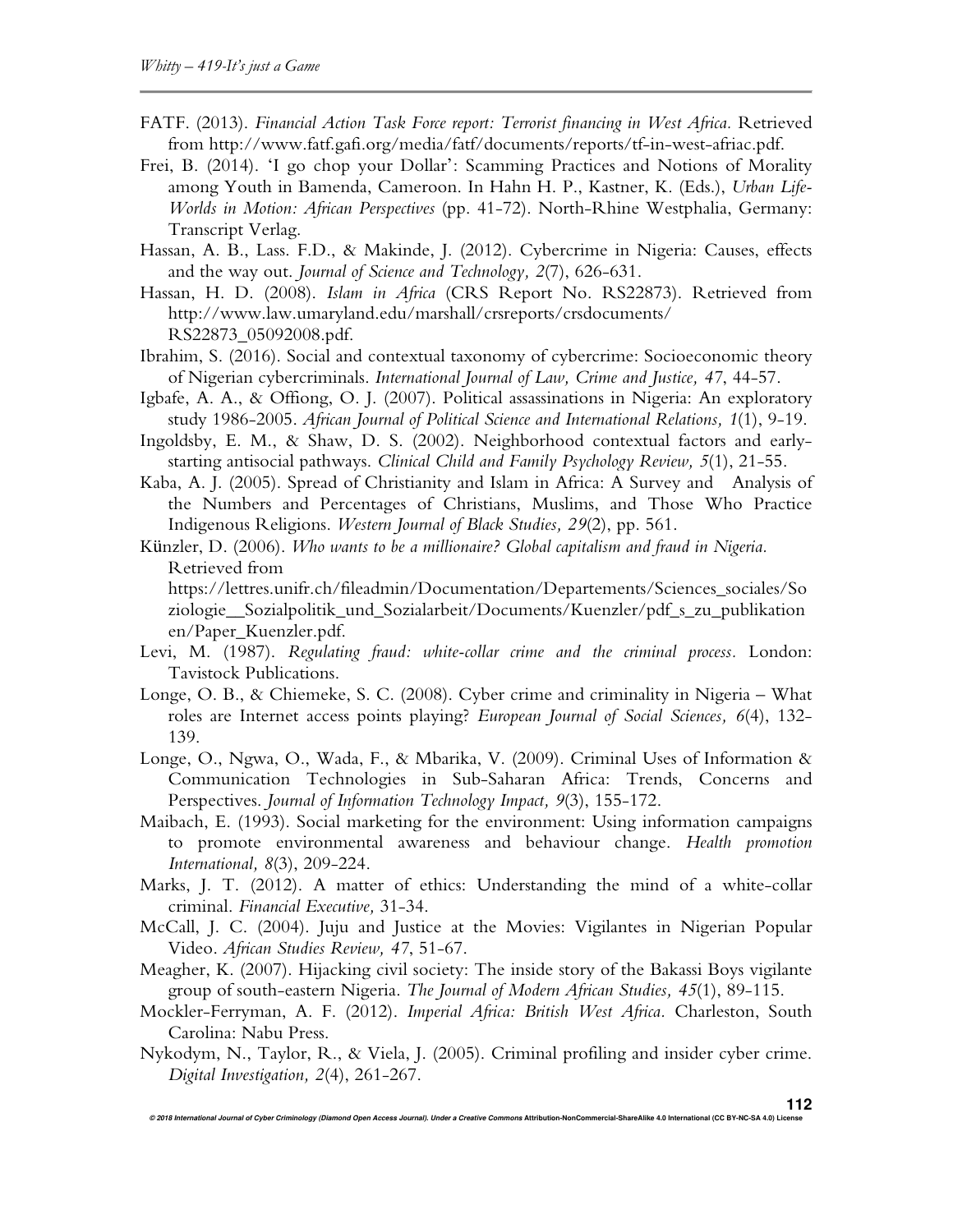- FATF. (2013). *Financial Action Task Force report: Terrorist financing in West Africa.* Retrieved from http://www.fatf.gafi.org/media/fatf/documents/reports/tf-in-west-afriac.pdf.
- Frei, B. (2014). 'I go chop your Dollar': Scamming Practices and Notions of Morality among Youth in Bamenda, Cameroon. In Hahn H. P., Kastner, K. (Eds.), *Urban Life-Worlds in Motion: African Perspectives* (pp. 41-72). North-Rhine Westphalia, Germany: Transcript Verlag.
- Hassan, A. B., Lass. F.D., & Makinde, J. (2012). Cybercrime in Nigeria: Causes, effects and the way out. *Journal of Science and Technology, 2*(7), 626-631.
- Hassan, H. D. (2008). *Islam in Africa* (CRS Report No. RS22873). Retrieved from http://www.law.umaryland.edu/marshall/crsreports/crsdocuments/ RS22873\_05092008.pdf.
- Ibrahim, S. (2016). Social and contextual taxonomy of cybercrime: Socioeconomic theory of Nigerian cybercriminals. *International Journal of Law, Crime and Justice, 47*, 44-57.
- Igbafe, A. A., & Offiong, O. J. (2007). Political assassinations in Nigeria: An exploratory study 1986-2005. *African Journal of Political Science and International Relations, 1*(1), 9-19.
- Ingoldsby, E. M., & Shaw, D. S. (2002). Neighborhood contextual factors and earlystarting antisocial pathways. *Clinical Child and Family Psychology Review, 5*(1), 21-55.
- Kaba, A. J. (2005). Spread of Christianity and Islam in Africa: A Survey and Analysis of the Numbers and Percentages of Christians, Muslims, and Those Who Practice Indigenous Religions. *Western Journal of Black Studies, 29*(2), pp. 561.
- Künzler, D. (2006). *Who wants to be a millionaire? Global capitalism and fraud in Nigeria.*  Retrieved from

https://lettres.unifr.ch/fileadmin/Documentation/Departements/Sciences\_sociales/So ziologie\_\_Sozialpolitik\_und\_Sozialarbeit/Documents/Kuenzler/pdf\_s\_zu\_publikation en/Paper\_Kuenzler.pdf.

- Levi, M. (1987). *Regulating fraud: white-collar crime and the criminal process.* London: Tavistock Publications.
- Longe, O. B., & Chiemeke, S. C. (2008). Cyber crime and criminality in Nigeria What roles are Internet access points playing? *European Journal of Social Sciences, 6*(4), 132- 139.
- Longe, O., Ngwa, O., Wada, F., & Mbarika, V. (2009). Criminal Uses of Information & Communication Technologies in Sub-Saharan Africa: Trends, Concerns and Perspectives. *Journal of Information Technology Impact, 9*(3), 155-172.
- Maibach, E. (1993). Social marketing for the environment: Using information campaigns to promote environmental awareness and behaviour change. *Health promotion International, 8*(3), 209-224.
- Marks, J. T. (2012). A matter of ethics: Understanding the mind of a white-collar criminal. *Financial Executive,* 31-34.
- McCall, J. C. (2004). Juju and Justice at the Movies: Vigilantes in Nigerian Popular Video. *African Studies Review, 47*, 51-67.
- Meagher, K. (2007). Hijacking civil society: The inside story of the Bakassi Boys vigilante group of south-eastern Nigeria. *The Journal of Modern African Studies, 45*(1), 89-115.
- Mockler-Ferryman, A. F. (2012). *Imperial Africa: British West Africa.* Charleston, South Carolina: Nabu Press.
- Nykodym, N., Taylor, R., & Viela, J. (2005). Criminal profiling and insider cyber crime. *Digital Investigation, 2*(4), 261-267.

© 2018 International Journal of Cyber Criminology (Diamond Open Access Journal). Under a Creative Commons Attribution-NonCommercial-ShareAlike 4.0 International (CC BY-NC-SA 4.0) Licens **112**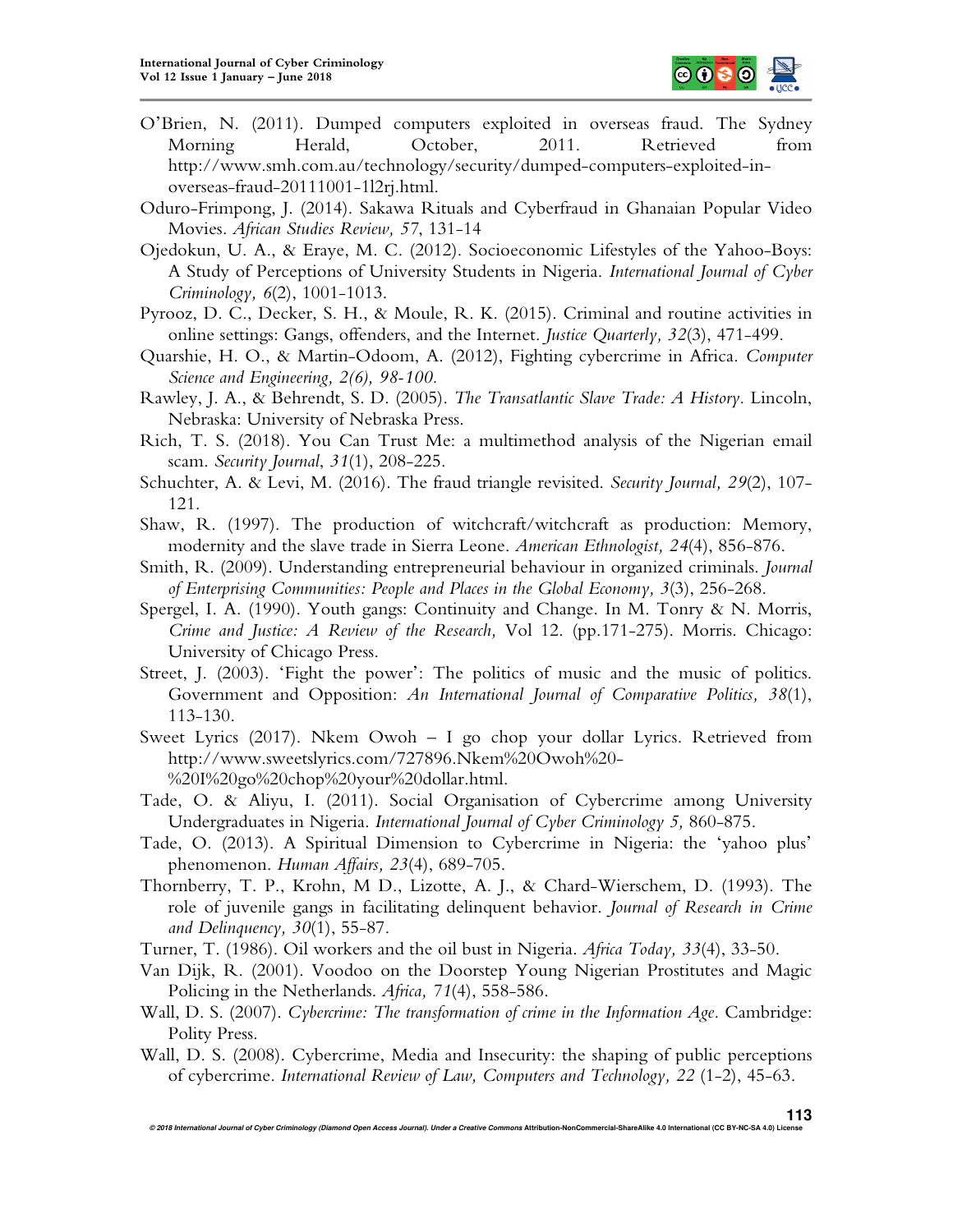

- O'Brien, N. (2011). Dumped computers exploited in overseas fraud. The Sydney Morning Herald, October, 2011. Retrieved from http://www.smh.com.au/technology/security/dumped-computers-exploited-inoverseas-fraud-20111001-1l2rj.html.
- Oduro-Frimpong, J. (2014). Sakawa Rituals and Cyberfraud in Ghanaian Popular Video Movies. *African Studies Review, 57*, 131-14
- Ojedokun, U. A., & Eraye, M. C. (2012). Socioeconomic Lifestyles of the Yahoo-Boys: A Study of Perceptions of University Students in Nigeria. *International Journal of Cyber Criminology, 6*(2), 1001-1013.
- Pyrooz, D. C., Decker, S. H., & Moule, R. K. (2015). Criminal and routine activities in online settings: Gangs, offenders, and the Internet. *Justice Quarterly, 32*(3), 471-499.
- Quarshie, H. O., & Martin-Odoom, A. (2012), Fighting cybercrime in Africa. *Computer Science and Engineering, 2(6), 98-100.*
- Rawley, J. A., & Behrendt, S. D. (2005). *The Transatlantic Slave Trade: A History.* Lincoln, Nebraska: University of Nebraska Press.
- Rich, T. S. (2018). You Can Trust Me: a multimethod analysis of the Nigerian email scam. *Security Journal*, *31*(1), 208-225.
- Schuchter, A. & Levi, M. (2016). The fraud triangle revisited. *Security Journal, 29*(2), 107- 121.
- Shaw, R. (1997). The production of witchcraft/witchcraft as production: Memory, modernity and the slave trade in Sierra Leone. *American Ethnologist, 24*(4), 856-876.
- Smith, R. (2009). Understanding entrepreneurial behaviour in organized criminals. *Journal of Enterprising Communities: People and Places in the Global Economy, 3*(3), 256-268.
- Spergel, I. A. (1990). Youth gangs: Continuity and Change. In M. Tonry & N. Morris, *Crime and Justice: A Review of the Research,* Vol 12. (pp.171-275). Morris. Chicago: University of Chicago Press.
- Street, J. (2003). 'Fight the power': The politics of music and the music of politics. Government and Opposition: *An International Journal of Comparative Politics, 38*(1), 113-130.
- Sweet Lyrics (2017). Nkem Owoh I go chop your dollar Lyrics. Retrieved from http://www.sweetslyrics.com/727896.Nkem%20Owoh%20- %20I%20go%20chop%20your%20dollar.html.
- Tade, O. & Aliyu, I. (2011). Social Organisation of Cybercrime among University Undergraduates in Nigeria. *International Journal of Cyber Criminology 5,* 860-875.
- Tade, O. (2013). A Spiritual Dimension to Cybercrime in Nigeria: the 'yahoo plus' phenomenon. *Human Affairs, 23*(4), 689-705.
- Thornberry, T. P., Krohn, M D., Lizotte, A. J., & Chard-Wierschem, D. (1993). The role of juvenile gangs in facilitating delinquent behavior. *Journal of Research in Crime and Delinquency, 30*(1), 55-87.
- Turner, T. (1986). Oil workers and the oil bust in Nigeria. *Africa Today, 33*(4), 33-50.
- Van Dijk, R. (2001). Voodoo on the Doorstep Young Nigerian Prostitutes and Magic Policing in the Netherlands. *Africa, 71*(4), 558-586.
- Wall, D. S. (2007). *Cybercrime: The transformation of crime in the Information Age.* Cambridge: Polity Press.
- Wall, D. S. (2008). Cybercrime, Media and Insecurity: the shaping of public perceptions of cybercrime. *International Review of Law, Computers and Technology, 22* (1-2), 45-63.